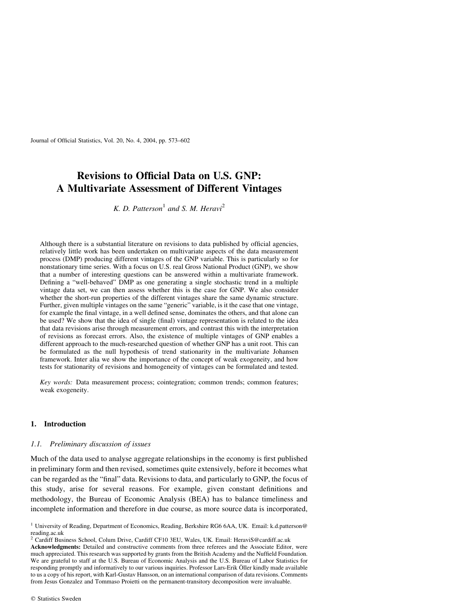Journal of Official Statistics, Vol. 20, No. 4, 2004, pp. 573–602

# Revisions to Official Data on U.S. GNP: A Multivariate Assessment of Different Vintages

K. D. Patterson<sup>1</sup> and S. M. Heravi<sup>2</sup>

Although there is a substantial literature on revisions to data published by official agencies, relatively little work has been undertaken on multivariate aspects of the data measurement process (DMP) producing different vintages of the GNP variable. This is particularly so for nonstationary time series. With a focus on U.S. real Gross National Product (GNP), we show that a number of interesting questions can be answered within a multivariate framework. Defining a "well-behaved" DMP as one generating a single stochastic trend in a multiple vintage data set, we can then assess whether this is the case for GNP. We also consider whether the short-run properties of the different vintages share the same dynamic structure. Further, given multiple vintages on the same "generic" variable, is it the case that one vintage, for example the final vintage, in a well defined sense, dominates the others, and that alone can be used? We show that the idea of single (final) vintage representation is related to the idea that data revisions arise through measurement errors, and contrast this with the interpretation of revisions as forecast errors. Also, the existence of multiple vintages of GNP enables a different approach to the much-researched question of whether GNP has a unit root. This can be formulated as the null hypothesis of trend stationarity in the multivariate Johansen framework. Inter alia we show the importance of the concept of weak exogeneity, and how tests for stationarity of revisions and homogeneity of vintages can be formulated and tested.

Key words: Data measurement process; cointegration; common trends; common features; weak exogeneity.

## 1. Introduction

# 1.1. Preliminary discussion of issues

Much of the data used to analyse aggregate relationships in the economy is first published in preliminary form and then revised, sometimes quite extensively, before it becomes what can be regarded as the "final" data. Revisions to data, and particularly to GNP, the focus of this study, arise for several reasons. For example, given constant definitions and methodology, the Bureau of Economic Analysis (BEA) has to balance timeliness and incomplete information and therefore in due course, as more source data is incorporated,

<sup>1</sup> University of Reading, Department of Economics, Reading, Berkshire RG6 6AA, UK. Email: k.d.patterson@ reading.ac.uk

<sup>&</sup>lt;sup>2</sup> Cardiff Business School, Colum Drive, Cardiff CF10 3EU, Wales, UK. Email: HeraviS@cardiff.ac.uk Acknowledgments: Detailed and constructive comments from three referees and the Associate Editor, were much appreciated. This research was supported by grants from the British Academy and the Nuffield Foundation. We are grateful to staff at the U.S. Bureau of Economic Analysis and the U.S. Bureau of Labor Statistics for responding promptly and informatively to our various inquiries. Professor Lars-Erik Öller kindly made available to us a copy of his report, with Karl-Gustav Hansson, on an international comparison of data revisions. Comments from Jesus Gonzalez and Tommaso Proietti on the permanent-transitory decomposition were invaluable.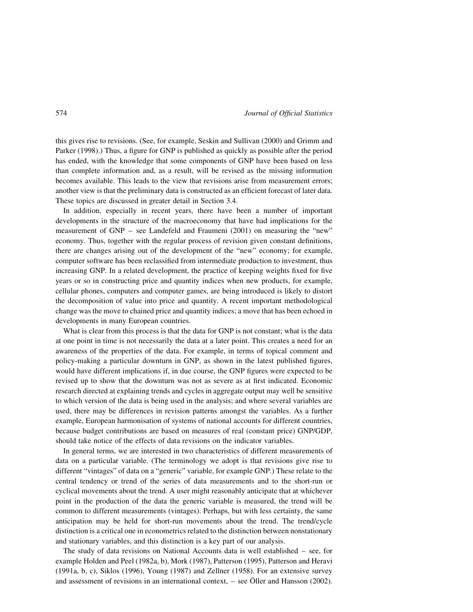this gives rise to revisions. (See, for example, Seskin and Sullivan (2000) and Grimm and Parker (1998).) Thus, a figure for GNP is published as quickly as possible after the period has ended, with the knowledge that some components of GNP have been based on less than complete information and, as a result, will be revised as the missing information becomes available. This leads to the view that revisions arise from measurement errors; another view is that the preliminary data is constructed as an efficient forecast of later data. These topics are discussed in greater detail in Section 3.4.

In addition, especially in recent years, there have been a number of important developments in the structure of the macroeconomy that have had implications for the measurement of GNP – see Landefeld and Fraumeni (2001) on measuring the "new" economy. Thus, together with the regular process of revision given constant definitions, there are changes arising out of the development of the "new" economy; for example, computer software has been reclassified from intermediate production to investment, thus increasing GNP. In a related development, the practice of keeping weights fixed for five years or so in constructing price and quantity indices when new products, for example, cellular phones, computers and computer games, are being introduced is likely to distort the decomposition of value into price and quantity. A recent important methodological change was the move to chained price and quantity indices; a move that has been echoed in developments in many European countries.

What is clear from this process is that the data for GNP is not constant; what is the data at one point in time is not necessarily the data at a later point. This creates a need for an awareness of the properties of the data. For example, in terms of topical comment and policy-making a particular downturn in GNP, as shown in the latest published figures, would have different implications if, in due course, the GNP figures were expected to be revised up to show that the downturn was not as severe as at first indicated. Economic research directed at explaining trends and cycles in aggregate output may well be sensitive to which version of the data is being used in the analysis; and where several variables are used, there may be differences in revision patterns amongst the variables. As a further example, European harmonisation of systems of national accounts for different countries, because budget contributions are based on measures of real (constant price) GNP/GDP, should take notice of the effects of data revisions on the indicator variables.

In general terms, we are interested in two characteristics of different measurements of data on a particular variable. (The terminology we adopt is that revisions give rise to different "vintages" of data on a "generic" variable, for example GNP.) These relate to the central tendency or trend of the series of data measurements and to the short-run or cyclical movements about the trend. A user might reasonably anticipate that at whichever point in the production of the data the generic variable is measured, the trend will be common to different measurements (vintages). Perhaps, but with less certainty, the same anticipation may be held for short-run movements about the trend. The trend/cycle distinction is a critical one in econometrics related to the distinction between nonstationary and stationary variables, and this distinction is a key part of our analysis.

The study of data revisions on National Accounts data is well established – see, for example Holden and Peel (1982a, b), Mork (1987), Patterson (1995), Patterson and Heravi (1991a, b, c), Siklos (1996), Young (1987) and Zellner (1958). For an extensive survey and assessment of revisions in an international context,  $-$  see Öller and Hansson (2002).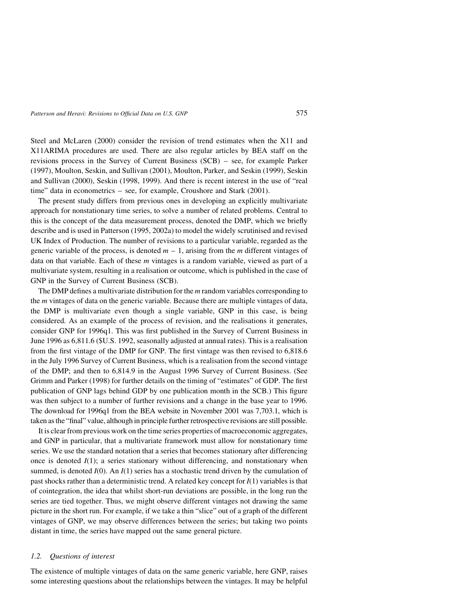Steel and McLaren (2000) consider the revision of trend estimates when the X11 and X11ARIMA procedures are used. There are also regular articles by BEA staff on the revisions process in the Survey of Current Business (SCB) – see, for example Parker (1997), Moulton, Seskin, and Sullivan (2001), Moulton, Parker, and Seskin (1999), Seskin and Sullivan (2000), Seskin (1998, 1999). And there is recent interest in the use of "real time" data in econometrics – see, for example, Croushore and Stark (2001).

The present study differs from previous ones in developing an explicitly multivariate approach for nonstationary time series, to solve a number of related problems. Central to this is the concept of the data measurement process, denoted the DMP, which we briefly describe and is used in Patterson (1995, 2002a) to model the widely scrutinised and revised UK Index of Production. The number of revisions to a particular variable, regarded as the generic variable of the process, is denoted  $m - 1$ , arising from the m different vintages of data on that variable. Each of these  $m$  vintages is a random variable, viewed as part of a multivariate system, resulting in a realisation or outcome, which is published in the case of GNP in the Survey of Current Business (SCB).

The DMP defines a multivariate distribution for the *m* random variables corresponding to the m vintages of data on the generic variable. Because there are multiple vintages of data, the DMP is multivariate even though a single variable, GNP in this case, is being considered. As an example of the process of revision, and the realisations it generates, consider GNP for 1996q1. This was first published in the Survey of Current Business in June 1996 as 6,811.6 (\$U.S. 1992, seasonally adjusted at annual rates). This is a realisation from the first vintage of the DMP for GNP. The first vintage was then revised to 6,818.6 in the July 1996 Survey of Current Business, which is a realisation from the second vintage of the DMP; and then to 6,814.9 in the August 1996 Survey of Current Business. (See Grimm and Parker (1998) for further details on the timing of "estimates" of GDP. The first publication of GNP lags behind GDP by one publication month in the SCB.) This figure was then subject to a number of further revisions and a change in the base year to 1996. The download for 1996q1 from the BEA website in November 2001 was 7,703.1, which is taken as the "final" value, although in principle further retrospective revisions are still possible.

It is clear from previous work on the time series properties of macroeconomic aggregates, and GNP in particular, that a multivariate framework must allow for nonstationary time series. We use the standard notation that a series that becomes stationary after differencing once is denoted  $I(1)$ ; a series stationary without differencing, and nonstationary when summed, is denoted  $I(0)$ . An  $I(1)$  series has a stochastic trend driven by the cumulation of past shocks rather than a deterministic trend. A related key concept for  $I(1)$  variables is that of cointegration, the idea that whilst short-run deviations are possible, in the long run the series are tied together. Thus, we might observe different vintages not drawing the same picture in the short run. For example, if we take a thin "slice" out of a graph of the different vintages of GNP, we may observe differences between the series; but taking two points distant in time, the series have mapped out the same general picture.

#### 1.2. Questions of interest

The existence of multiple vintages of data on the same generic variable, here GNP, raises some interesting questions about the relationships between the vintages. It may be helpful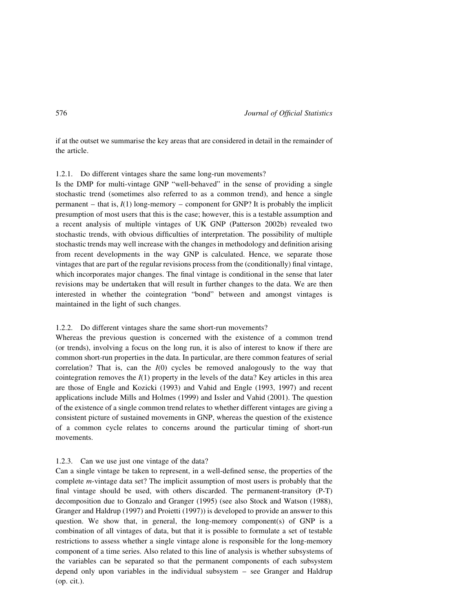if at the outset we summarise the key areas that are considered in detail in the remainder of the article.

## 1.2.1. Do different vintages share the same long-run movements?

Is the DMP for multi-vintage GNP "well-behaved" in the sense of providing a single stochastic trend (sometimes also referred to as a common trend), and hence a single permanent – that is,  $I(1)$  long-memory – component for GNP? It is probably the implicit presumption of most users that this is the case; however, this is a testable assumption and a recent analysis of multiple vintages of UK GNP (Patterson 2002b) revealed two stochastic trends, with obvious difficulties of interpretation. The possibility of multiple stochastic trends may well increase with the changes in methodology and definition arising from recent developments in the way GNP is calculated. Hence, we separate those vintages that are part of the regular revisions process from the (conditionally) final vintage, which incorporates major changes. The final vintage is conditional in the sense that later revisions may be undertaken that will result in further changes to the data. We are then interested in whether the cointegration "bond" between and amongst vintages is maintained in the light of such changes.

## 1.2.2. Do different vintages share the same short-run movements?

Whereas the previous question is concerned with the existence of a common trend (or trends), involving a focus on the long run, it is also of interest to know if there are common short-run properties in the data. In particular, are there common features of serial correlation? That is, can the  $I(0)$  cycles be removed analogously to the way that cointegration removes the  $I(1)$  property in the levels of the data? Key articles in this area are those of Engle and Kozicki (1993) and Vahid and Engle (1993, 1997) and recent applications include Mills and Holmes (1999) and Issler and Vahid (2001). The question of the existence of a single common trend relates to whether different vintages are giving a consistent picture of sustained movements in GNP, whereas the question of the existence of a common cycle relates to concerns around the particular timing of short-run movements.

# 1.2.3. Can we use just one vintage of the data?

Can a single vintage be taken to represent, in a well-defined sense, the properties of the complete m-vintage data set? The implicit assumption of most users is probably that the final vintage should be used, with others discarded. The permanent-transitory (P-T) decomposition due to Gonzalo and Granger (1995) (see also Stock and Watson (1988), Granger and Haldrup (1997) and Proietti (1997)) is developed to provide an answer to this question. We show that, in general, the long-memory component(s) of GNP is a combination of all vintages of data, but that it is possible to formulate a set of testable restrictions to assess whether a single vintage alone is responsible for the long-memory component of a time series. Also related to this line of analysis is whether subsystems of the variables can be separated so that the permanent components of each subsystem depend only upon variables in the individual subsystem – see Granger and Haldrup (op. cit.).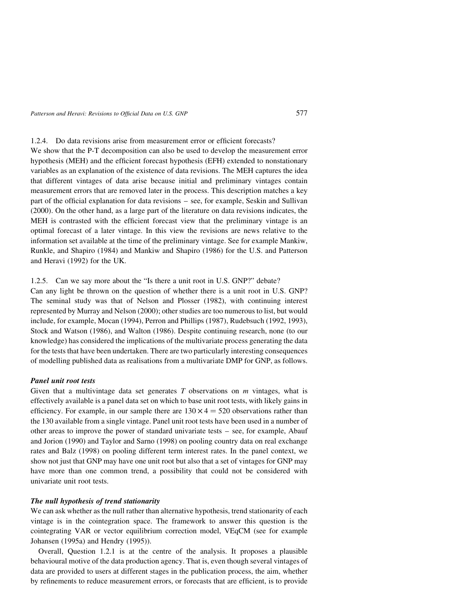1.2.4. Do data revisions arise from measurement error or efficient forecasts?

We show that the P-T decomposition can also be used to develop the measurement error hypothesis (MEH) and the efficient forecast hypothesis (EFH) extended to nonstationary variables as an explanation of the existence of data revisions. The MEH captures the idea that different vintages of data arise because initial and preliminary vintages contain measurement errors that are removed later in the process. This description matches a key part of the official explanation for data revisions – see, for example, Seskin and Sullivan (2000). On the other hand, as a large part of the literature on data revisions indicates, the MEH is contrasted with the efficient forecast view that the preliminary vintage is an optimal forecast of a later vintage. In this view the revisions are news relative to the information set available at the time of the preliminary vintage. See for example Mankiw, Runkle, and Shapiro (1984) and Mankiw and Shapiro (1986) for the U.S. and Patterson and Heravi (1992) for the UK.

# 1.2.5. Can we say more about the "Is there a unit root in U.S. GNP?" debate?

Can any light be thrown on the question of whether there is a unit root in U.S. GNP? The seminal study was that of Nelson and Plosser (1982), with continuing interest represented by Murray and Nelson (2000); other studies are too numerous to list, but would include, for example, Mocan (1994), Perron and Phillips (1987), Rudebsuch (1992, 1993), Stock and Watson (1986), and Walton (1986). Despite continuing research, none (to our knowledge) has considered the implications of the multivariate process generating the data for the tests that have been undertaken. There are two particularly interesting consequences of modelling published data as realisations from a multivariate DMP for GNP, as follows.

# Panel unit root tests

Given that a multivintage data set generates  $T$  observations on  $m$  vintages, what is effectively available is a panel data set on which to base unit root tests, with likely gains in efficiency. For example, in our sample there are  $130 \times 4 = 520$  observations rather than the 130 available from a single vintage. Panel unit root tests have been used in a number of other areas to improve the power of standard univariate tests – see, for example, Abauf and Jorion (1990) and Taylor and Sarno (1998) on pooling country data on real exchange rates and Balz (1998) on pooling different term interest rates. In the panel context, we show not just that GNP may have one unit root but also that a set of vintages for GNP may have more than one common trend, a possibility that could not be considered with univariate unit root tests.

# The null hypothesis of trend stationarity

We can ask whether as the null rather than alternative hypothesis, trend stationarity of each vintage is in the cointegration space. The framework to answer this question is the cointegrating VAR or vector equilibrium correction model, VEqCM (see for example Johansen (1995a) and Hendry (1995)).

Overall, Question 1.2.1 is at the centre of the analysis. It proposes a plausible behavioural motive of the data production agency. That is, even though several vintages of data are provided to users at different stages in the publication process, the aim, whether by refinements to reduce measurement errors, or forecasts that are efficient, is to provide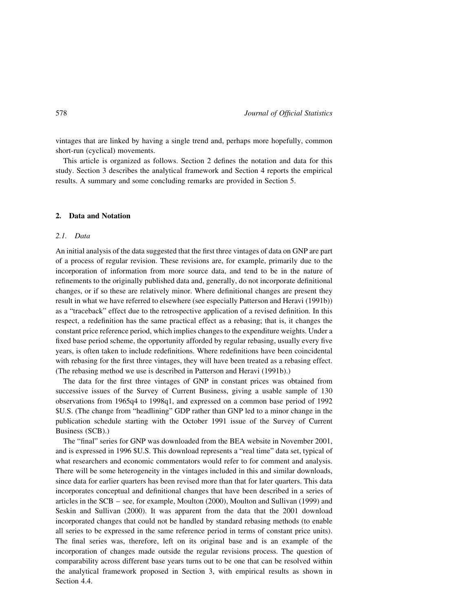vintages that are linked by having a single trend and, perhaps more hopefully, common short-run (cyclical) movements.

This article is organized as follows. Section 2 defines the notation and data for this study. Section 3 describes the analytical framework and Section 4 reports the empirical results. A summary and some concluding remarks are provided in Section 5.

# 2. Data and Notation

# 2.1. Data

An initial analysis of the data suggested that the first three vintages of data on GNP are part of a process of regular revision. These revisions are, for example, primarily due to the incorporation of information from more source data, and tend to be in the nature of refinements to the originally published data and, generally, do not incorporate definitional changes, or if so these are relatively minor. Where definitional changes are present they result in what we have referred to elsewhere (see especially Patterson and Heravi (1991b)) as a "traceback" effect due to the retrospective application of a revised definition. In this respect, a redefinition has the same practical effect as a rebasing; that is, it changes the constant price reference period, which implies changes to the expenditure weights. Under a fixed base period scheme, the opportunity afforded by regular rebasing, usually every five years, is often taken to include redefinitions. Where redefinitions have been coincidental with rebasing for the first three vintages, they will have been treated as a rebasing effect. (The rebasing method we use is described in Patterson and Heravi (1991b).)

The data for the first three vintages of GNP in constant prices was obtained from successive issues of the Survey of Current Business, giving a usable sample of 130 observations from 1965q4 to 1998q1, and expressed on a common base period of 1992 \$U.S. (The change from "headlining" GDP rather than GNP led to a minor change in the publication schedule starting with the October 1991 issue of the Survey of Current Business (SCB).)

The "final" series for GNP was downloaded from the BEA website in November 2001, and is expressed in 1996 \$U.S. This download represents a "real time" data set, typical of what researchers and economic commentators would refer to for comment and analysis. There will be some heterogeneity in the vintages included in this and similar downloads, since data for earlier quarters has been revised more than that for later quarters. This data incorporates conceptual and definitional changes that have been described in a series of articles in the SCB – see, for example, Moulton (2000), Moulton and Sullivan (1999) and Seskin and Sullivan (2000). It was apparent from the data that the 2001 download incorporated changes that could not be handled by standard rebasing methods (to enable all series to be expressed in the same reference period in terms of constant price units). The final series was, therefore, left on its original base and is an example of the incorporation of changes made outside the regular revisions process. The question of comparability across different base years turns out to be one that can be resolved within the analytical framework proposed in Section 3, with empirical results as shown in Section 4.4.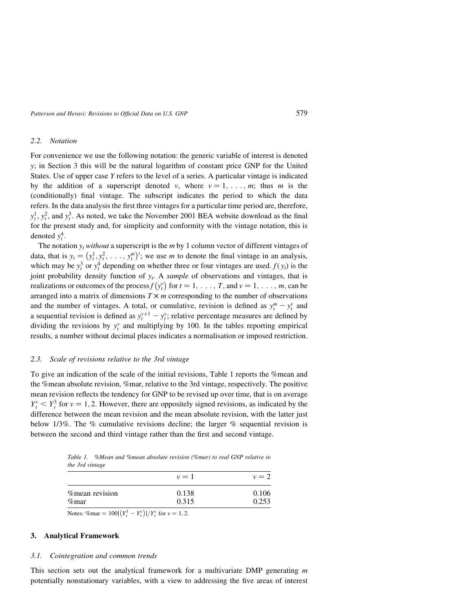# 2.2. Notation

For convenience we use the following notation: the generic variable of interest is denoted y; in Section 3 this will be the natural logarithm of constant price GNP for the United States. Use of upper case Y refers to the level of a series. A particular vintage is indicated by the addition of a superscript denoted v, where  $v = 1, \ldots, m$ ; thus m is the (conditionally) final vintage. The subscript indicates the period to which the data refers. In the data analysis the first three vintages for a particular time period are, therefore,  $y_t^1$ ,  $y_t^2$ , and  $y_t^3$ . As noted, we take the November 2001 BEA website download as the final for the present study and, for simplicity and conformity with the vintage notation, this is denoted  $y_t^4$ .

The notation  $y_t$  without a superscript is the *m* by 1 column vector of different vintages of data, that is  $y_t = (y_t^1, y_t^2, \ldots, y_t^m)$  $(y_1^1, y_1^2, \ldots, y_i^m)'$ ; we use *m* to denote the final vintage in an analysis, which may be  $y_t^3$  or  $y_t^4$  depending on whether three or four vintages are used.  $f(y_t)$  is the joint probability density function of  $y_t$ . A sample of observations and vintages, that is realizations or outcomes of the process  $f(y_t^v)$  for  $t = 1, \ldots, T$ , and  $v = 1, \ldots, m$ , can be arranged into a matrix of dimensions  $T \times m$  corresponding to the number of observations and the number of vintages. A total, or cumulative, revision is defined as  $y_t^m - y_t^v$  and a sequential revision is defined as  $y_t^{v+1} - y_t^v$ ; relative percentage measures are defined by dividing the revisions by  $y_t^v$  and multiplying by 100. In the tables reporting empirical results, a number without decimal places indicates a normalisation or imposed restriction.

#### 2.3. Scale of revisions relative to the 3rd vintage

To give an indication of the scale of the initial revisions, Table 1 reports the %mean and the %mean absolute revision, %mar, relative to the 3rd vintage, respectively. The positive mean revision reflects the tendency for GNP to be revised up over time, that is on average  $Y_t^v < Y_t^3$  for  $v = 1, 2$ . However, there are oppositely signed revisions, as indicated by the difference between the mean revision and the mean absolute revision, with the latter just below  $1/3\%$ . The % cumulative revisions decline; the larger % sequential revision is between the second and third vintage rather than the first and second vintage.

Table 1. %Mean and %mean absolute revision (%mar) to real GNP relative to the 3rd vintage

|                                                         | $\nu = 1$ | $\nu = 2$ |
|---------------------------------------------------------|-----------|-----------|
| <i>n</i> ean revision                                   | 0.138     | 0.106     |
| $\%$ mar                                                | 0.315     | 0.253     |
| $\sim$ $\sim$ $\sim$ $\sim$ $\sim$ $\sim$ $\sim$ $\sim$ |           |           |

Notes: %mar =  $100|(Y_t^3 - Y_t^{\text{v}})|/Y_t^{\text{v}}$  for  $\nu = 1, 2$ .

# 3. Analytical Framework

## 3.1. Cointegration and common trends

This section sets out the analytical framework for a multivariate DMP generating  $m$ potentially nonstationary variables, with a view to addressing the five areas of interest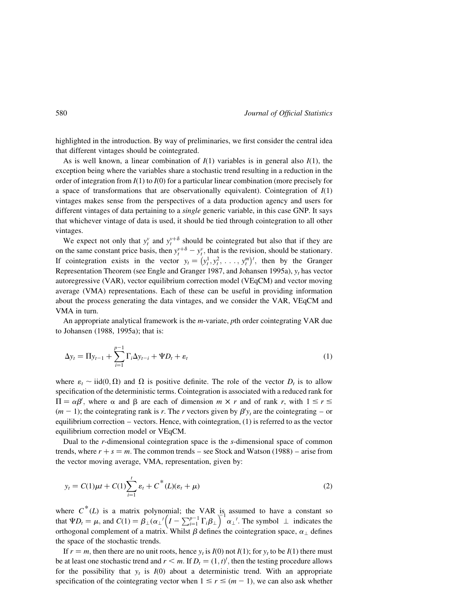highlighted in the introduction. By way of preliminaries, we first consider the central idea that different vintages should be cointegrated.

As is well known, a linear combination of  $I(1)$  variables is in general also  $I(1)$ , the exception being where the variables share a stochastic trend resulting in a reduction in the order of integration from  $I(1)$  to  $I(0)$  for a particular linear combination (more precisely for a space of transformations that are observationally equivalent). Cointegration of  $I(1)$ vintages makes sense from the perspectives of a data production agency and users for different vintages of data pertaining to a *single* generic variable, in this case GNP. It says that whichever vintage of data is used, it should be tied through cointegration to all other vintages.

We expect not only that  $y_t^v$  and  $y_t^{v+\delta}$  should be cointegrated but also that if they are on the same constant price basis, then  $y_t^{y+\delta} - y_t^y$ , that is the revision, should be stationary. If cointegration exists in the vector  $y_t = (y_t^1, y_t^2, \ldots, y_t^m)$ , then by the Granger Representation Theorem (see Engle and Granger 1987, and Johansen 1995a),  $y_t$  has vector autoregressive (VAR), vector equilibrium correction model (VEqCM) and vector moving average (VMA) representations. Each of these can be useful in providing information about the process generating the data vintages, and we consider the VAR, VEqCM and VMA in turn.

An appropriate analytical framework is the  $m$ -variate, pth order cointegrating VAR due to Johansen (1988, 1995a); that is:

$$
\Delta y_t = \Pi y_{t-1} + \sum_{i=1}^{p-1} \Gamma_i \Delta y_{t-i} + \Psi D_t + \varepsilon_t
$$
\n(1)

where  $\varepsilon_t \sim \text{iid}(0, \Omega)$  and  $\Omega$  is positive definite. The role of the vector  $D_t$  is to allow specification of the deterministic terms. Cointegration is associated with a reduced rank for  $\Pi = \alpha \beta'$ , where  $\alpha$  and  $\beta$  are each of dimension  $m \times r$  and of rank r, with  $1 \le r \le$  $(m - 1)$ ; the cointegrating rank is r. The r vectors given by  $\beta' y_t$  are the cointegrating – or equilibrium correction – vectors. Hence, with cointegration, (1) is referred to as the vector equilibrium correction model or VEqCM.

Dual to the r-dimensional cointegration space is the s-dimensional space of common trends, where  $r + s = m$ . The common trends – see Stock and Watson (1988) – arise from the vector moving average, VMA, representation, given by:

$$
y_t = C(1)\mu t + C(1)\sum_{i=1}^t \varepsilon_t + C^*(L)(\varepsilon_t + \mu)
$$
\n(2)

where  $C^*(L)$  is a matrix polynomial; the VAR is assumed to have a constant so that  $\Psi D_t = \mu$ , and  $C(1) = \beta_\perp (\alpha_\perp)' \left( I - \sum_{i=1}^{p-1} \Gamma_i \beta_\perp \right)$ of the symbol  $\left(I - \sum_{i=1}^{p-1} \Gamma_i \beta_{\perp}\right)^{-1} \alpha_{\perp}$ . The symbol  $\perp$  indicates the orthogonal complement of a matrix. Whilst  $\beta$  defines the cointegration space,  $\alpha_{\perp}$  defines the space of the stochastic trends.

If  $r = m$ , then there are no unit roots, hence  $y_t$  is  $I(0)$  not  $I(1)$ ; for  $y_t$  to be  $I(1)$  there must be at least one stochastic trend and  $r < m$ . If  $D_t = (1, t)$ , then the testing procedure allows for the possibility that  $y_t$  is  $I(0)$  about a deterministic trend. With an appropriate specification of the cointegrating vector when  $1 \le r \le (m - 1)$ , we can also ask whether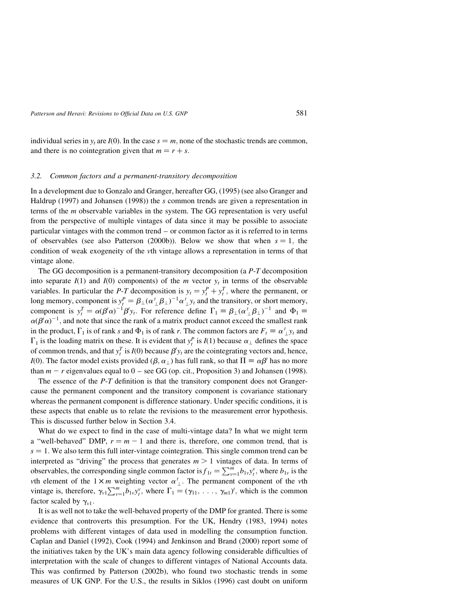individual series in  $y_t$  are  $I(0)$ . In the case  $s = m$ , none of the stochastic trends are common, and there is no cointegration given that  $m = r + s$ .

#### 3.2. Common factors and a permanent-transitory decomposition

In a development due to Gonzalo and Granger, hereafter GG, (1995) (see also Granger and Haldrup (1997) and Johansen (1998)) the s common trends are given a representation in terms of the m observable variables in the system. The GG representation is very useful from the perspective of multiple vintages of data since it may be possible to associate particular vintages with the common trend – or common factor as it is referred to in terms of observables (see also Patterson (2000b)). Below we show that when  $s = 1$ , the condition of weak exogeneity of the vth vintage allows a representation in terms of that vintage alone.

The GG decomposition is a permanent-transitory decomposition (a P-T decomposition into separate  $I(1)$  and  $I(0)$  components) of the m vector  $y_t$  in terms of the observable variables. In particular the *P-T* decomposition is  $y_t = y_t^P + y_t^T$ , where the permanent, or long memory, component is  $y_t^P = \beta_\perp (\alpha'_\perp \beta_\perp)^{-1} \alpha'_\perp y_t$  and the transitory, or short memory, component is  $y_t^T = \alpha (\beta' \alpha)^{-1} \beta' y_t$ . For reference define  $\Gamma_1 = \beta_\perp (\alpha' \beta_\perp)^{-1}$  and  $\Phi_1 =$  $\alpha(\beta^{\prime}\alpha)^{-1}$ , and note that since the rank of a matrix product cannot exceed the smallest rank in the product,  $\Gamma_1$  is of rank s and  $\Phi_1$  is of rank r. The common factors are  $F_t \equiv \alpha'_{\perp} y_t$  and  $\Gamma_1$  is the loading matrix on these. It is evident that  $y_t^p$  is  $I(1)$  because  $\alpha_{\perp}$  defines the space of common trends, and that  $y_t^T$  is  $I(0)$  because  $\beta' y_t$  are the cointegrating vectors and, hence, I(0). The factor model exists provided  $(\beta, \alpha_{\perp})$  has full rank, so that  $\Pi = \alpha \beta'$  has no more than  $m - r$  eigenvalues equal to  $0 -$  see GG (op. cit., Proposition 3) and Johansen (1998).

The essence of the  $P$ -T definition is that the transitory component does not Grangercause the permanent component and the transitory component is covariance stationary whereas the permanent component is difference stationary. Under specific conditions, it is these aspects that enable us to relate the revisions to the measurement error hypothesis. This is discussed further below in Section 3.4.

What do we expect to find in the case of multi-vintage data? In what we might term a "well-behaved" DMP,  $r = m - 1$  and there is, therefore, one common trend, that is  $s = 1$ . We also term this full inter-vintage cointegration. This single common trend can be interpreted as "driving" the process that generates  $m > 1$  vintages of data. In terms of observables, the corresponding single common factor is  $f_{1t} = \sum_{v=1}^{m} b_{1v} y_t^v$ , where  $b_{1v}$  is the wth element of the  $1 \times m$  weighting vector  $\alpha'_{\perp}$ . The permanent component of the vth vintage is, therefore,  $\gamma_{v1} \sum_{v=1}^{m} b_{1v} y_i^v$ , where  $\Gamma_1 = (\gamma_{11}, \ldots, \gamma_{m1})'$ , which is the common factor scaled by  $\gamma_{v1}$ .

It is as well not to take the well-behaved property of the DMP for granted. There is some evidence that controverts this presumption. For the UK, Hendry (1983, 1994) notes problems with different vintages of data used in modelling the consumption function. Caplan and Daniel (1992), Cook (1994) and Jenkinson and Brand (2000) report some of the initiatives taken by the UK's main data agency following considerable difficulties of interpretation with the scale of changes to different vintages of National Accounts data. This was confirmed by Patterson (2002b), who found two stochastic trends in some measures of UK GNP. For the U.S., the results in Siklos (1996) cast doubt on uniform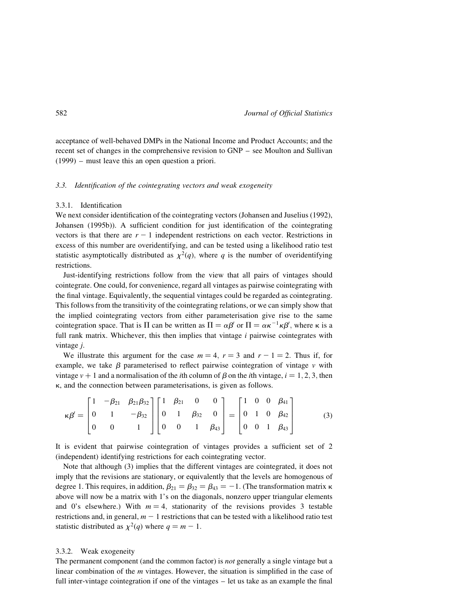acceptance of well-behaved DMPs in the National Income and Product Accounts; and the recent set of changes in the comprehensive revision to GNP – see Moulton and Sullivan (1999) – must leave this an open question a priori.

#### 3.3. Identification of the cointegrating vectors and weak exogeneity

## 3.3.1. Identification

We next consider identification of the cointegrating vectors (Johansen and Juselius (1992), Johansen (1995b)). A sufficient condition for just identification of the cointegrating vectors is that there are  $r - 1$  independent restrictions on each vector. Restrictions in excess of this number are overidentifying, and can be tested using a likelihood ratio test statistic asymptotically distributed as  $\chi^2(q)$ , where q is the number of overidentifying restrictions.

Just-identifying restrictions follow from the view that all pairs of vintages should cointegrate. One could, for convenience, regard all vintages as pairwise cointegrating with the final vintage. Equivalently, the sequential vintages could be regarded as cointegrating. This follows from the transitivity of the cointegrating relations, or we can simply show that the implied cointegrating vectors from either parameterisation give rise to the same cointegration space. That is  $\Pi$  can be written as  $\Pi = \alpha \beta'$  or  $\Pi = \alpha \kappa^{-1} \kappa \beta'$ , where  $\kappa$  is a full rank matrix. Whichever, this then implies that vintage  $i$  pairwise cointegrates with vintage j.

We illustrate this argument for the case  $m = 4$ ,  $r = 3$  and  $r - 1 = 2$ . Thus if, for example, we take  $\beta$  parameterised to reflect pairwise cointegration of vintage v with vintage  $v + 1$  and a normalisation of the *i*th column of  $\beta$  on the *i*th vintage,  $i = 1, 2, 3$ , then  $\kappa$ , and the connection between parameterisations, is given as follows.

$$
\kappa \beta' = \begin{bmatrix} 1 & -\beta_{21} & \beta_{21} \beta_{32} \\ 0 & 1 & -\beta_{32} \\ 0 & 0 & 1 \end{bmatrix} \begin{bmatrix} 1 & \beta_{21} & 0 & 0 \\ 0 & 1 & \beta_{32} & 0 \\ 0 & 0 & 1 & \beta_{43} \end{bmatrix} = \begin{bmatrix} 1 & 0 & 0 & \beta_{41} \\ 0 & 1 & 0 & \beta_{42} \\ 0 & 0 & 1 & \beta_{43} \end{bmatrix}
$$
(3)

It is evident that pairwise cointegration of vintages provides a sufficient set of 2 (independent) identifying restrictions for each cointegrating vector.

Note that although (3) implies that the different vintages are cointegrated, it does not imply that the revisions are stationary, or equivalently that the levels are homogenous of degree 1. This requires, in addition,  $\beta_{21} = \beta_{32} = \beta_{43} = -1$ . (The transformation matrix  $\kappa$ above will now be a matrix with 1's on the diagonals, nonzero upper triangular elements and 0's elsewhere.) With  $m = 4$ , stationarity of the revisions provides 3 testable restrictions and, in general,  $m - 1$  restrictions that can be tested with a likelihood ratio test statistic distributed as  $\chi^2(q)$  where  $q = m - 1$ .

# 3.3.2. Weak exogeneity

The permanent component (and the common factor) is *not* generally a single vintage but a linear combination of the m vintages. However, the situation is simplified in the case of full inter-vintage cointegration if one of the vintages – let us take as an example the final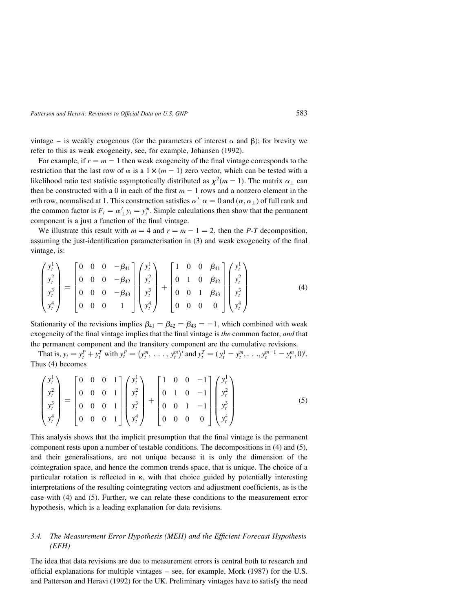vintage – is weakly exogenous (for the parameters of interest  $\alpha$  and  $\beta$ ); for brevity we refer to this as weak exogeneity, see, for example, Johansen (1992).

For example, if  $r = m - 1$  then weak exogeneity of the final vintage corresponds to the restriction that the last row of  $\alpha$  is a  $1 \times (m - 1)$  zero vector, which can be tested with a likelihood ratio test statistic asymptotically distributed as  $\chi^2(m - 1)$ . The matrix  $\alpha_{\perp}$  can then be constructed with a 0 in each of the first  $m - 1$  rows and a nonzero element in the mth row, normalised at 1. This construction satisfies  $\alpha'_{\perp} \alpha = 0$  and  $(\alpha, \alpha_{\perp})$  of full rank and the common factor is  $F_t = \alpha'_{\perp} y_t = y_t^m$ . Simple calculations then show that the permanent component is a just a function of the final vintage.

We illustrate this result with  $m = 4$  and  $r = m - 1 = 2$ , then the P-T decomposition, assuming the just-identification parameterisation in (3) and weak exogeneity of the final vintage, is:

$$
\begin{pmatrix} y_t^1 \\ y_t^2 \\ y_t^3 \\ y_t^4 \end{pmatrix} = \begin{bmatrix} 0 & 0 & 0 & -\beta_{41} \\ 0 & 0 & 0 & -\beta_{42} \\ 0 & 0 & 0 & -\beta_{43} \\ 0 & 0 & 0 & 1 \end{bmatrix} \begin{pmatrix} y_t^1 \\ y_t^2 \\ y_t^3 \\ y_t^4 \end{pmatrix} + \begin{bmatrix} 1 & 0 & 0 & \beta_{41} \\ 0 & 1 & 0 & \beta_{42} \\ 0 & 0 & 1 & \beta_{43} \\ 0 & 0 & 0 & 0 \end{bmatrix} \begin{pmatrix} y_t^1 \\ y_t^2 \\ y_t^3 \\ y_t^4 \end{pmatrix}
$$
(4)

Stationarity of the revisions implies  $\beta_{41} = \beta_{42} = \beta_{43} = -1$ , which combined with weak exogeneity of the final vintage implies that the final vintage is *the* common factor, *and* that the permanent component and the transitory component are the cumulative revisions.

That is,  $y_t = y_t^P + y_t^T$  with  $y_t^P = (y_t^m, \ldots, y_t^m)$  $(y_1^m, \ldots, y_i^m)'$  and  $y_i^T = (y_i^1 - y_i^m, \ldots, y_i^{m-1} - y_i^m, 0)'$ . Thus (4) becomes

$$
\begin{pmatrix} y_t^1 \\ y_t^2 \\ y_t^3 \\ y_t^4 \end{pmatrix} = \begin{bmatrix} 0 & 0 & 0 & 1 \\ 0 & 0 & 0 & 1 \\ 0 & 0 & 0 & 1 \\ 0 & 0 & 0 & 1 \end{bmatrix} \begin{pmatrix} y_t^1 \\ y_t^2 \\ y_t^3 \\ y_t^4 \end{pmatrix} + \begin{bmatrix} 1 & 0 & 0 & -1 \\ 0 & 1 & 0 & -1 \\ 0 & 0 & 1 & -1 \\ 0 & 0 & 0 & 0 \end{bmatrix} \begin{pmatrix} y_t^1 \\ y_t^2 \\ y_t^3 \\ y_t^4 \end{pmatrix}
$$
(5)

This analysis shows that the implicit presumption that the final vintage is the permanent component rests upon a number of testable conditions. The decompositions in (4) and (5), and their generalisations, are not unique because it is only the dimension of the cointegration space, and hence the common trends space, that is unique. The choice of a particular rotation is reflected in  $\kappa$ , with that choice guided by potentially interesting interpretations of the resulting cointegrating vectors and adjustment coefficients, as is the case with (4) and (5). Further, we can relate these conditions to the measurement error hypothesis, which is a leading explanation for data revisions.

# 3.4. The Measurement Error Hypothesis (MEH) and the Efficient Forecast Hypothesis (EFH)

The idea that data revisions are due to measurement errors is central both to research and official explanations for multiple vintages – see, for example, Mork (1987) for the U.S. and Patterson and Heravi (1992) for the UK. Preliminary vintages have to satisfy the need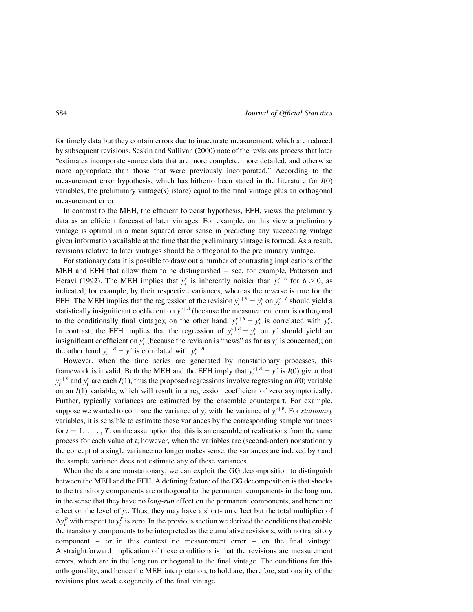for timely data but they contain errors due to inaccurate measurement, which are reduced by subsequent revisions. Seskin and Sullivan (2000) note of the revisions process that later "estimates incorporate source data that are more complete, more detailed, and otherwise more appropriate than those that were previously incorporated." According to the measurement error hypothesis, which has hitherto been stated in the literature for  $I(0)$ variables, the preliminary vintage $(s)$  is(are) equal to the final vintage plus an orthogonal measurement error.

In contrast to the MEH, the efficient forecast hypothesis, EFH, views the preliminary data as an efficient forecast of later vintages. For example, on this view a preliminary vintage is optimal in a mean squared error sense in predicting any succeeding vintage given information available at the time that the preliminary vintage is formed. As a result, revisions relative to later vintages should be orthogonal to the preliminary vintage.

For stationary data it is possible to draw out a number of contrasting implications of the MEH and EFH that allow them to be distinguished – see, for example, Patterson and Heravi (1992). The MEH implies that  $y_t^v$  is inherently noisier than  $y_t^{v+\delta}$  for  $\delta > 0$ , as indicated, for example, by their respective variances, whereas the reverse is true for the EFH. The MEH implies that the regression of the revision  $y_t^{v+\delta} - y_t^v$  on  $y_t^{v+\delta}$  should yield a statistically insignificant coefficient on  $y_t^{y+\delta}$  (because the measurement error is orthogonal to the conditionally final vintage); on the other hand,  $y_t^{y+\delta} - y_t^y$  is correlated with  $y_t^y$ . In contrast, the EFH implies that the regression of  $y_t^{y+\delta} - y_t^y$  on  $y_t^y$  should yield an insignificant coefficient on  $y_t^v$  (because the revision is "news" as far as  $y_t^v$  is concerned); on the other hand  $y_t^{v+\delta} - y_t^v$  is correlated with  $y_t^{v+\delta}$ .

However, when the time series are generated by nonstationary processes, this framework is invalid. Both the MEH and the EFH imply that  $y_t^{v+\delta} - y_t^v$  is  $I(0)$  given that  $y_t^{y+\delta}$  and  $y_t^y$  are each  $I(1)$ , thus the proposed regressions involve regressing an  $I(0)$  variable on an  $I(1)$  variable, which will result in a regression coefficient of zero asymptotically. Further, typically variances are estimated by the ensemble counterpart. For example, suppose we wanted to compare the variance of  $y_t^v$  with the variance of  $y_t^{v+\delta}$ . For stationary variables, it is sensible to estimate these variances by the corresponding sample variances for  $t = 1, \ldots, T$ , on the assumption that this is an ensemble of realisations from the same process for each value of t; however, when the variables are (second-order) nonstationary the concept of a single variance no longer makes sense, the variances are indexed by  $t$  and the sample variance does not estimate any of these variances.

When the data are nonstationary, we can exploit the GG decomposition to distinguish between the MEH and the EFH. A defining feature of the GG decomposition is that shocks to the transitory components are orthogonal to the permanent components in the long run, in the sense that they have no *long-run* effect on the permanent components, and hence no effect on the level of  $y_t$ . Thus, they may have a short-run effect but the total multiplier of  $\Delta y_t^p$  with respect to  $y_t^T$  is zero. In the previous section we derived the conditions that enable the transitory components to be interpreted as the cumulative revisions, with no transitory component – or in this context no measurement error – on the final vintage. A straightforward implication of these conditions is that the revisions are measurement errors, which are in the long run orthogonal to the final vintage. The conditions for this orthogonality, and hence the MEH interpretation, to hold are, therefore, stationarity of the revisions plus weak exogeneity of the final vintage.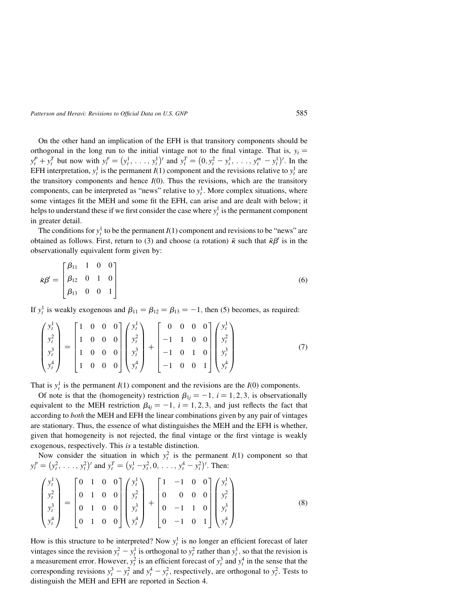On the other hand an implication of the EFH is that transitory components should be orthogonal in the long run to the initial vintage not to the final vintage. That is,  $y_t =$  $y_t^P + y_t^T$  but now with  $y_t^P = (y_t^1, \ldots, y_t^1)$  $(y_1^1, \ldots, y_i^1)'$  and  $y_i^T = (0, y_i^2 - y_i^1, \ldots, y_i^m - y_i^1)$  $(0, y_t^2 - y_t^1, \ldots, y_t^m - y_t^1)'$ . In the EFH interpretation,  $y_t^1$  is the permanent  $I(1)$  component and the revisions relative to  $y_t^1$  are the transitory components and hence  $I(0)$ . Thus the revisions, which are the transitory components, can be interpreted as "news" relative to  $y_t^1$ . More complex situations, where some vintages fit the MEH and some fit the EFH, can arise and are dealt with below; it helps to understand these if we first consider the case where  $y_t^1$  is the permanent component in greater detail.

The conditions for  $y_t^1$  to be the permanent  $I(1)$  component and revisions to be "news" are obtained as follows. First, return to (3) and choose (a rotation)  $\tilde{\kappa}$  such that  $\tilde{\kappa}\beta'$  is in the observationally equivalent form given by:

$$
\tilde{\kappa}\beta' = \begin{bmatrix} \beta_{11} & 1 & 0 & 0 \\ \beta_{12} & 0 & 1 & 0 \\ \beta_{13} & 0 & 0 & 1 \end{bmatrix}
$$
 (6)

If  $y_t^1$  is weakly exogenous and  $\beta_{11} = \beta_{12} = \beta_{13} = -1$ , then (5) becomes, as required:

$$
\begin{pmatrix} y_t^1 \\ y_t^2 \\ y_t^3 \\ y_t^4 \end{pmatrix} = \begin{bmatrix} 1 & 0 & 0 & 0 \\ 1 & 0 & 0 & 0 \\ 1 & 0 & 0 & 0 \\ 1 & 0 & 0 & 0 \end{bmatrix} \begin{pmatrix} y_t^1 \\ y_t^2 \\ y_t^3 \\ y_t^4 \end{pmatrix} + \begin{bmatrix} 0 & 0 & 0 & 0 \\ -1 & 1 & 0 & 0 \\ -1 & 0 & 1 & 0 \\ -1 & 0 & 0 & 1 \end{bmatrix} \begin{pmatrix} y_t^1 \\ y_t^2 \\ y_t^3 \\ y_t^4 \end{pmatrix}
$$
(7)

That is  $y_t^1$  is the permanent  $I(1)$  component and the revisions are the  $I(0)$  components.

Of note is that the (homogeneity) restriction  $\beta_{1j} = -1$ ,  $i = 1, 2, 3$ , is observationally equivalent to the MEH restriction  $\beta_{4j} = -1, i = 1, 2, 3$ , and just reflects the fact that according to both the MEH and EFH the linear combinations given by any pair of vintages are stationary. Thus, the essence of what distinguishes the MEH and the EFH is whether, given that homogeneity is not rejected, the final vintage or the first vintage is weakly exogenous, respectively. This is a testable distinction.

Now consider the situation in which  $y_t^2$  is the permanent  $I(1)$  component so that  $y_t^p = (y_t^2, \ldots, y_t^2)$  $(y_1^2, \ldots, y_t^2)'$  and  $y_t^T = (y_t^1 - y_t^2, 0, \ldots, y_t^4 - y_t^2)$  $(y_t^1 - y_t^2, 0, \ldots, y_t^4 - y_t^2)'$ . Then:

$$
\begin{pmatrix} y_t^1 \\ y_t^2 \\ y_t^3 \\ y_t^4 \end{pmatrix} = \begin{bmatrix} 0 & 1 & 0 & 0 \\ 0 & 1 & 0 & 0 \\ 0 & 1 & 0 & 0 \\ 0 & 1 & 0 & 0 \end{bmatrix} \begin{pmatrix} y_t^1 \\ y_t^2 \\ y_t^3 \\ y_t^4 \end{pmatrix} + \begin{bmatrix} 1 & -1 & 0 & 0 \\ 0 & 0 & 0 & 0 \\ 0 & -1 & 1 & 0 \\ 0 & -1 & 0 & 1 \end{bmatrix} \begin{pmatrix} y_t^1 \\ y_t^2 \\ y_t^3 \\ y_t^4 \end{pmatrix}
$$
 (8)

How is this structure to be interpreted? Now  $y_t^1$  is no longer an efficient forecast of later vintages since the revision  $y_t^2 - y_t^1$  is orthogonal to  $y_t^2$  rather than  $y_t^1$ , so that the revision is a measurement error. However,  $y_t^2$  is an efficient forecast of  $y_t^3$  and  $y_t^4$  in the sense that the corresponding revisions  $y_t^3 - y_t^2$  and  $y_t^4 - y_t^2$ , respectively, are orthogonal to  $y_t^2$ . Tests to distinguish the MEH and EFH are reported in Section 4.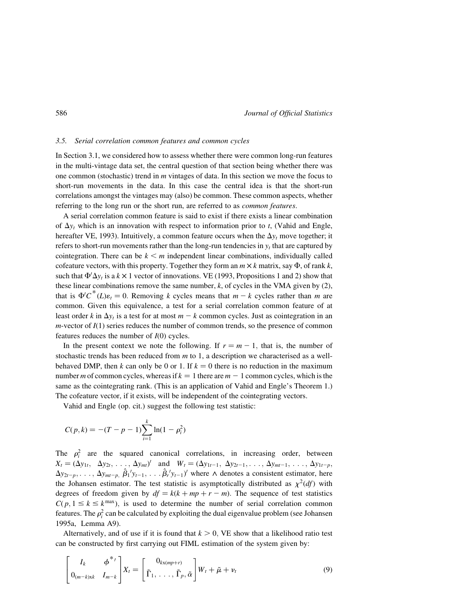# 3.5. Serial correlation common features and common cycles

In Section 3.1, we considered how to assess whether there were common long-run features in the multi-vintage data set, the central question of that section being whether there was one common (stochastic) trend in m vintages of data. In this section we move the focus to short-run movements in the data. In this case the central idea is that the short-run correlations amongst the vintages may (also) be common. These common aspects, whether referring to the long run or the short run, are referred to as common features.

A serial correlation common feature is said to exist if there exists a linear combination of  $\Delta y_t$  which is an innovation with respect to information prior to t, (Vahid and Engle, hereafter VE, 1993). Intuitively, a common feature occurs when the  $\Delta y_t$  move together; it refers to short-run movements rather than the long-run tendencies in  $y_t$  that are captured by cointegration. There can be  $k \le m$  independent linear combinations, individually called cofeature vectors, with this property. Together they form an  $m \times k$  matrix, say  $\Phi$ , of rank k, such that  $\Phi' \Delta y_t$  is a  $k \times 1$  vector of innovations. VE (1993, Propositions 1 and 2) show that these linear combinations remove the same number,  $k$ , of cycles in the VMA given by  $(2)$ , that is  $\Phi' C^*(L) \varepsilon_t = 0$ . Removing k cycles means that  $m - k$  cycles rather than m are common. Given this equivalence, a test for a serial correlation common feature of at least order k in  $\Delta y_t$  is a test for at most  $m - k$  common cycles. Just as cointegration in an  $m$ -vector of  $I(1)$  series reduces the number of common trends, so the presence of common features reduces the number of  $I(0)$  cycles.

In the present context we note the following. If  $r = m - 1$ , that is, the number of stochastic trends has been reduced from  $m$  to 1, a description we characterised as a wellbehaved DMP, then k can only be 0 or 1. If  $k = 0$  there is no reduction in the maximum number m of common cycles, whereas if  $k = 1$  there are  $m - 1$  common cycles, which is the same as the cointegrating rank. (This is an application of Vahid and Engle's Theorem 1.) The cofeature vector, if it exists, will be independent of the cointegrating vectors.

Vahid and Engle (op. cit.) suggest the following test statistic:

$$
C(p,k) = -(T-p-1)\sum_{i=1}^{k} \ln(1-\rho_i^2)
$$

The  $\rho_i^2$  are the squared canonical correlations, in increasing order, between  $X_t = (\Delta y_{1t}, \quad \Delta y_{2t}, \ldots, \Delta y_{mt})'$  and  $W_t = (\Delta y_{1t-1}, \Delta y_{2t-1}, \ldots, \Delta y_{mt-1}, \ldots, \Delta y_{1t-p},$  $\Delta y_{2t-p}, \ldots, \Delta y_{mt-p}$ ,  $\hat{\beta}_1 y_{t-1}, \ldots, \hat{\beta}_r y_{t-1}$  where  $\wedge$  denotes a consistent estimator, here the Johansen estimator. The test statistic is asymptotically distributed as  $\chi^2(df)$  with degrees of freedom given by  $df = k(k + mp + r - m)$ . The sequence of test statistics  $C(p, 1 \le k \le k^{\max})$ , is used to determine the number of serial correlation common features. The  $\rho_i^2$  can be calculated by exploiting the dual eigenvalue problem (see Johansen 1995a, Lemma A9).

Alternatively, and of use if it is found that  $k > 0$ , VE show that a likelihood ratio test can be constructed by first carrying out FIML estimation of the system given by:

$$
\begin{bmatrix} I_k & \phi^{*} \\ 0_{(m-k)xk} & I_{m-k} \end{bmatrix} X_t = \begin{bmatrix} 0_{kx(mp+r)} \\ \tilde{\Gamma}_1, \dots, \tilde{\Gamma}_p, \tilde{\alpha} \end{bmatrix} W_t + \tilde{\mu} + \nu_t
$$
 (9)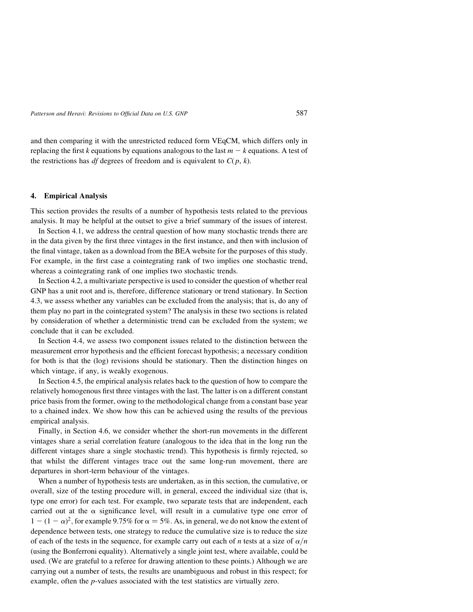and then comparing it with the unrestricted reduced form VEqCM, which differs only in replacing the first k equations by equations analogous to the last  $m - k$  equations. A test of the restrictions has *df* degrees of freedom and is equivalent to  $C(p, k)$ .

# 4. Empirical Analysis

This section provides the results of a number of hypothesis tests related to the previous analysis. It may be helpful at the outset to give a brief summary of the issues of interest.

In Section 4.1, we address the central question of how many stochastic trends there are in the data given by the first three vintages in the first instance, and then with inclusion of the final vintage, taken as a download from the BEA website for the purposes of this study. For example, in the first case a cointegrating rank of two implies one stochastic trend, whereas a cointegrating rank of one implies two stochastic trends.

In Section 4.2, a multivariate perspective is used to consider the question of whether real GNP has a unit root and is, therefore, difference stationary or trend stationary. In Section 4.3, we assess whether any variables can be excluded from the analysis; that is, do any of them play no part in the cointegrated system? The analysis in these two sections is related by consideration of whether a deterministic trend can be excluded from the system; we conclude that it can be excluded.

In Section 4.4, we assess two component issues related to the distinction between the measurement error hypothesis and the efficient forecast hypothesis; a necessary condition for both is that the (log) revisions should be stationary. Then the distinction hinges on which vintage, if any, is weakly exogenous.

In Section 4.5, the empirical analysis relates back to the question of how to compare the relatively homogenous first three vintages with the last. The latter is on a different constant price basis from the former, owing to the methodological change from a constant base year to a chained index. We show how this can be achieved using the results of the previous empirical analysis.

Finally, in Section 4.6, we consider whether the short-run movements in the different vintages share a serial correlation feature (analogous to the idea that in the long run the different vintages share a single stochastic trend). This hypothesis is firmly rejected, so that whilst the different vintages trace out the same long-run movement, there are departures in short-term behaviour of the vintages.

When a number of hypothesis tests are undertaken, as in this section, the cumulative, or overall, size of the testing procedure will, in general, exceed the individual size (that is, type one error) for each test. For example, two separate tests that are independent, each carried out at the  $\alpha$  significance level, will result in a cumulative type one error of  $1 - (1 - \alpha)^2$ , for example 9.75% for  $\alpha = 5\%$ . As, in general, we do not know the extent of dependence between tests, one strategy to reduce the cumulative size is to reduce the size of each of the tests in the sequence, for example carry out each of n tests at a size of  $\alpha/n$ (using the Bonferroni equality). Alternatively a single joint test, where available, could be used. (We are grateful to a referee for drawing attention to these points.) Although we are carrying out a number of tests, the results are unambiguous and robust in this respect; for example, often the p-values associated with the test statistics are virtually zero.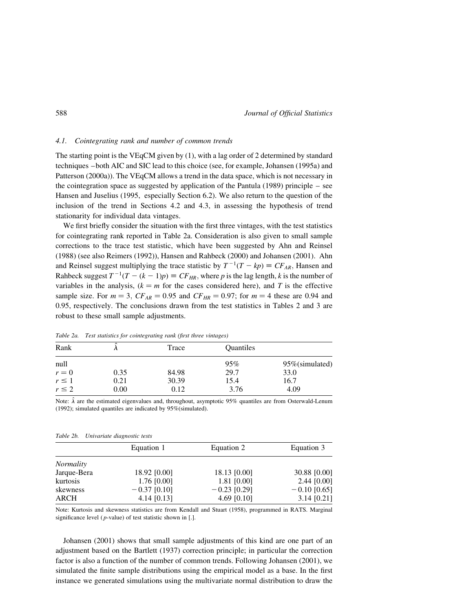# 4.1. Cointegrating rank and number of common trends

The starting point is the VEqCM given by (1), with a lag order of 2 determined by standard techniques –both AIC and SIC lead to this choice (see, for example, Johansen (1995a) and Patterson (2000a)). The VEqCM allows a trend in the data space, which is not necessary in the cointegration space as suggested by application of the Pantula (1989) principle – see Hansen and Juselius (1995, especially Section 6.2). We also return to the question of the inclusion of the trend in Sections 4.2 and 4.3, in assessing the hypothesis of trend stationarity for individual data vintages.

We first briefly consider the situation with the first three vintages, with the test statistics for cointegrating rank reported in Table 2a. Consideration is also given to small sample corrections to the trace test statistic, which have been suggested by Ahn and Reinsel (1988) (see also Reimers (1992)), Hansen and Rahbeck (2000) and Johansen (2001). Ahn and Reinsel suggest multiplying the trace statistic by  $T^{-1}(T - kp) \equiv CF_{AR}$ , Hansen and Rahbeck suggest  $T^{-1}(T - (k - 1)p) \equiv CF_{HR}$ , where p is the lag length, k is the number of variables in the analysis,  $(k = m$  for the cases considered here), and T is the effective sample size. For  $m = 3$ ,  $CF_{AR} = 0.95$  and  $CF_{HR} = 0.97$ ; for  $m = 4$  these are 0.94 and 0.95, respectively. The conclusions drawn from the test statistics in Tables 2 and 3 are robust to these small sample adjustments.

| Rank<br>Trace               | <b>Ouantiles</b>       |  |
|-----------------------------|------------------------|--|
| null                        | 95%<br>95% (simulated) |  |
| 84.98<br>0.35<br>$r = 0$    | 29.7<br>33.0           |  |
| $r \leq 1$<br>30.39<br>0.21 | 16.7<br>15.4           |  |
| $r \leq 2$<br>0.00<br>0.12  | 4.09<br>3.76           |  |

Table 2a. Test statistics for cointegrating rank (first three vintages)

Note:  $\hat{\lambda}$  are the estimated eigenvalues and, throughout, asymptotic 95% quantiles are from Osterwald-Lenum (1992); simulated quantiles are indicated by 95%(simulated).

| Equation 3     |
|----------------|
|                |
|                |
| 30.88 [0.00]   |
| $2.44$ [0.00]  |
| $-0.10$ [0.65] |
| $3.14$ [0.21]  |
|                |

Table 2b. Univariate diagnostic tests

Note: Kurtosis and skewness statistics are from Kendall and Stuart (1958), programmed in RATS. Marginal significance level ( $p$ -value) of test statistic shown in [.].

Johansen (2001) shows that small sample adjustments of this kind are one part of an adjustment based on the Bartlett (1937) correction principle; in particular the correction factor is also a function of the number of common trends. Following Johansen (2001), we simulated the finite sample distributions using the empirical model as a base. In the first instance we generated simulations using the multivariate normal distribution to draw the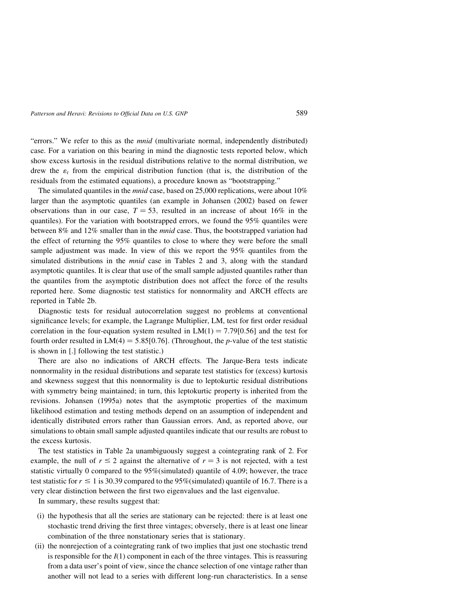"errors." We refer to this as the mnid (multivariate normal, independently distributed) case. For a variation on this bearing in mind the diagnostic tests reported below, which show excess kurtosis in the residual distributions relative to the normal distribution, we drew the  $\varepsilon_t$  from the empirical distribution function (that is, the distribution of the residuals from the estimated equations), a procedure known as "bootstrapping."

The simulated quantiles in the *mnid* case, based on 25,000 replications, were about 10% larger than the asymptotic quantiles (an example in Johansen (2002) based on fewer observations than in our case,  $T = 53$ , resulted in an increase of about 16% in the quantiles). For the variation with bootstrapped errors, we found the 95% quantiles were between 8% and 12% smaller than in the mnid case. Thus, the bootstrapped variation had the effect of returning the 95% quantiles to close to where they were before the small sample adjustment was made. In view of this we report the 95% quantiles from the simulated distributions in the *mnid* case in Tables 2 and 3, along with the standard asymptotic quantiles. It is clear that use of the small sample adjusted quantiles rather than the quantiles from the asymptotic distribution does not affect the force of the results reported here. Some diagnostic test statistics for nonnormality and ARCH effects are reported in Table 2b.

Diagnostic tests for residual autocorrelation suggest no problems at conventional significance levels; for example, the Lagrange Multiplier, LM, test for first order residual correlation in the four-equation system resulted in  $LM(1) = 7.79[0.56]$  and the test for fourth order resulted in  $LM(4) = 5.85[0.76]$ . (Throughout, the p-value of the test statistic is shown in [.] following the test statistic.)

There are also no indications of ARCH effects. The Jarque-Bera tests indicate nonnormality in the residual distributions and separate test statistics for (excess) kurtosis and skewness suggest that this nonnormality is due to leptokurtic residual distributions with symmetry being maintained; in turn, this leptokurtic property is inherited from the revisions. Johansen (1995a) notes that the asymptotic properties of the maximum likelihood estimation and testing methods depend on an assumption of independent and identically distributed errors rather than Gaussian errors. And, as reported above, our simulations to obtain small sample adjusted quantiles indicate that our results are robust to the excess kurtosis.

The test statistics in Table 2a unambiguously suggest a cointegrating rank of 2. For example, the null of  $r \leq 2$  against the alternative of  $r = 3$  is not rejected, with a test statistic virtually 0 compared to the 95%(simulated) quantile of 4.09; however, the trace test statistic for  $r \le 1$  is 30.39 compared to the 95%(simulated) quantile of 16.7. There is a very clear distinction between the first two eigenvalues and the last eigenvalue.

In summary, these results suggest that:

- (i) the hypothesis that all the series are stationary can be rejected: there is at least one stochastic trend driving the first three vintages; obversely, there is at least one linear combination of the three nonstationary series that is stationary.
- (ii) the nonrejection of a cointegrating rank of two implies that just one stochastic trend is responsible for the  $I(1)$  component in each of the three vintages. This is reassuring from a data user's point of view, since the chance selection of one vintage rather than another will not lead to a series with different long-run characteristics. In a sense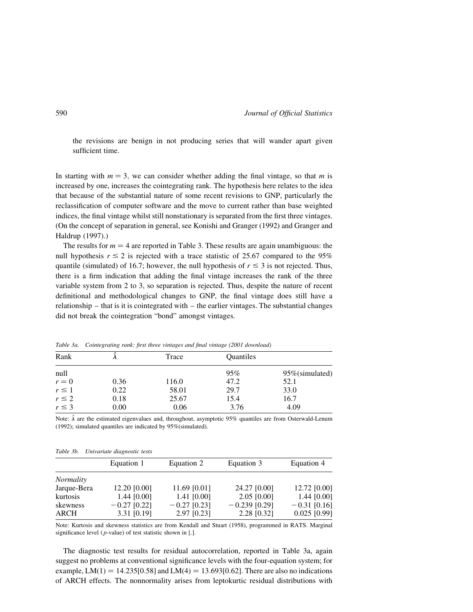the revisions are benign in not producing series that will wander apart given sufficient time.

In starting with  $m = 3$ , we can consider whether adding the final vintage, so that m is increased by one, increases the cointegrating rank. The hypothesis here relates to the idea that because of the substantial nature of some recent revisions to GNP, particularly the reclassification of computer software and the move to current rather than base weighted indices, the final vintage whilst still nonstationary is separated from the first three vintages. (On the concept of separation in general, see Konishi and Granger (1992) and Granger and Haldrup (1997).)

The results for  $m = 4$  are reported in Table 3. These results are again unambiguous: the null hypothesis  $r \le 2$  is rejected with a trace statistic of 25.67 compared to the 95% quantile (simulated) of 16.7; however, the null hypothesis of  $r \leq 3$  is not rejected. Thus, there is a firm indication that adding the final vintage increases the rank of the three variable system from 2 to 3, so separation is rejected. Thus, despite the nature of recent definitional and methodological changes to GNP, the final vintage does still have a relationship – that is it is cointegrated with – the earlier vintages. The substantial changes did not break the cointegration "bond" amongst vintages.

| Rank       |      | Trace | Quantiles |                 |
|------------|------|-------|-----------|-----------------|
| null       |      |       | 95%       | 95% (simulated) |
| $r = 0$    | 0.36 | 116.0 | 47.2      | 52.1            |
| $r \leq 1$ | 0.22 | 58.01 | 29.7      | 33.0            |
| $r \leq 2$ | 0.18 | 25.67 | 15.4      | 16.7            |
| $r \leq 3$ | 0.00 | 0.06  | 3.76      | 4.09            |

Table 3a. Cointegrating rank: first three vintages and final vintage (2001 download)

Note:  $\hat{\lambda}$  are the estimated eigenvalues and, throughout, asymptotic 95% quantiles are from Osterwald-Lenum (1992); simulated quantiles are indicated by 95%(simulated).

|                  | Equation 1     | Equation 2     | Equation 3      | Equation 4     |
|------------------|----------------|----------------|-----------------|----------------|
| <i>Normality</i> |                |                |                 |                |
| Jarque-Bera      | 12.20 [0.00]   | 11.69 [0.01]   | 24.27 [0.00]    | 12.72 [0.00]   |
| kurtosis         | 1.44 $[0.00]$  | $1.41$ [0.00]  | $2.05$ [0.00]   | 1.44 $[0.00]$  |
| skewness         | $-0.27$ [0.22] | $-0.27$ [0.23] | $-0.239$ [0.29] | $-0.31$ [0.16] |
| <b>ARCH</b>      | 3.31 [0.19]    | $2.97$ [0.23]  | 2.28 [0.32]     | $0.025$ [0.99] |
|                  |                |                |                 |                |

Table 3b. Univariate diagnostic tests

Note: Kurtosis and skewness statistics are from Kendall and Stuart (1958), programmed in RATS. Marginal significance level ( $p$ -value) of test statistic shown in [.].

The diagnostic test results for residual autocorrelation, reported in Table 3a, again suggest no problems at conventional significance levels with the four-equation system; for example, LM $(1) = 14.235[0.58]$  and LM $(4) = 13.693[0.62]$ . There are also no indications of ARCH effects. The nonnormality arises from leptokurtic residual distributions with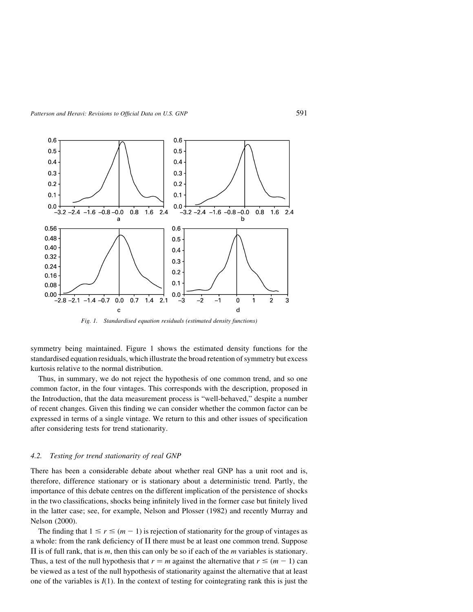

Fig. 1. Standardised equation residuals (estimated density functions)

symmetry being maintained. Figure 1 shows the estimated density functions for the standardised equation residuals, which illustrate the broad retention of symmetry but excess kurtosis relative to the normal distribution.

Thus, in summary, we do not reject the hypothesis of one common trend, and so one common factor, in the four vintages. This corresponds with the description, proposed in the Introduction, that the data measurement process is "well-behaved," despite a number of recent changes. Given this finding we can consider whether the common factor can be expressed in terms of a single vintage. We return to this and other issues of specification after considering tests for trend stationarity.

#### 4.2. Testing for trend stationarity of real GNP

There has been a considerable debate about whether real GNP has a unit root and is, therefore, difference stationary or is stationary about a deterministic trend. Partly, the importance of this debate centres on the different implication of the persistence of shocks in the two classifications, shocks being infinitely lived in the former case but finitely lived in the latter case; see, for example, Nelson and Plosser (1982) and recently Murray and Nelson (2000).

The finding that  $1 \le r \le (m - 1)$  is rejection of stationarity for the group of vintages as a whole: from the rank deficiency of  $\Pi$  there must be at least one common trend. Suppose  $\Pi$  is of full rank, that is m, then this can only be so if each of the m variables is stationary. Thus, a test of the null hypothesis that  $r = m$  against the alternative that  $r \leq (m - 1)$  can be viewed as a test of the null hypothesis of stationarity against the alternative that at least one of the variables is  $I(1)$ . In the context of testing for cointegrating rank this is just the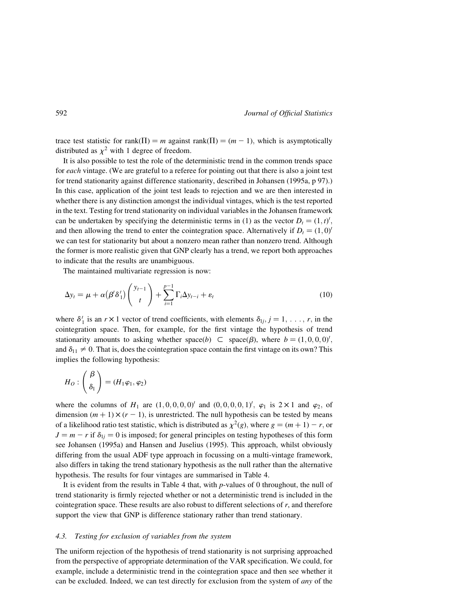trace test statistic for rank $(\Pi) = m$  against rank $(\Pi) = (m - 1)$ , which is asymptotically distributed as  $\chi^2$  with 1 degree of freedom.

It is also possible to test the role of the deterministic trend in the common trends space for each vintage. (We are grateful to a referee for pointing out that there is also a joint test for trend stationarity against difference stationarity, described in Johansen (1995a, p 97).) In this case, application of the joint test leads to rejection and we are then interested in whether there is any distinction amongst the individual vintages, which is the test reported in the text. Testing for trend stationarity on individual variables in the Johansen framework can be undertaken by specifying the deterministic terms in (1) as the vector  $D_t = (1, t)$ , and then allowing the trend to enter the cointegration space. Alternatively if  $D_t = (1,0)^t$ we can test for stationarity but about a nonzero mean rather than nonzero trend. Although the former is more realistic given that GNP clearly has a trend, we report both approaches to indicate that the results are unambiguous.

The maintained multivariate regression is now:

$$
\Delta y_t = \mu + \alpha (\beta' \delta'_1) \binom{y_{t-1}}{t} + \sum_{i=1}^{p-1} \Gamma_i \Delta y_{t-i} + \varepsilon_t \tag{10}
$$

where  $\delta_1'$  is an  $r \times 1$  vector of trend coefficients, with elements  $\delta_{1j}, j = 1, \ldots, r$ , in the cointegration space. Then, for example, for the first vintage the hypothesis of trend stationarity amounts to asking whether space(b)  $\subset$  space( $\beta$ ), where  $b = (1, 0, 0, 0)'$ , and  $\delta_{11} \neq 0$ . That is, does the cointegration space contain the first vintage on its own? This implies the following hypothesis:

$$
H_O: \left(\begin{array}{c} \beta \\ \delta_1 \end{array}\right) = (H_1 \varphi_1, \varphi_2)
$$

where the columns of  $H_1$  are  $(1, 0, 0, 0, 0)^t$  and  $(0, 0, 0, 0, 1)^t$ ,  $\varphi_1$  is  $2 \times 1$  and  $\varphi_2$ , of dimension  $(m + 1) \times (r - 1)$ , is unrestricted. The null hypothesis can be tested by means of a likelihood ratio test statistic, which is distributed as  $\chi^2(g)$ , where  $g = (m + 1) - r$ , or  $J = m - r$  if  $\delta_{1j} = 0$  is imposed; for general principles on testing hypotheses of this form see Johansen (1995a) and Hansen and Juselius (1995). This approach, whilst obviously differing from the usual ADF type approach in focussing on a multi-vintage framework, also differs in taking the trend stationary hypothesis as the null rather than the alternative hypothesis. The results for four vintages are summarised in Table 4.

It is evident from the results in Table 4 that, with  $p$ -values of 0 throughout, the null of trend stationarity is firmly rejected whether or not a deterministic trend is included in the cointegration space. These results are also robust to different selections of r, and therefore support the view that GNP is difference stationary rather than trend stationary.

#### 4.3. Testing for exclusion of variables from the system

The uniform rejection of the hypothesis of trend stationarity is not surprising approached from the perspective of appropriate determination of the VAR specification. We could, for example, include a deterministic trend in the cointegration space and then see whether it can be excluded. Indeed, we can test directly for exclusion from the system of *any* of the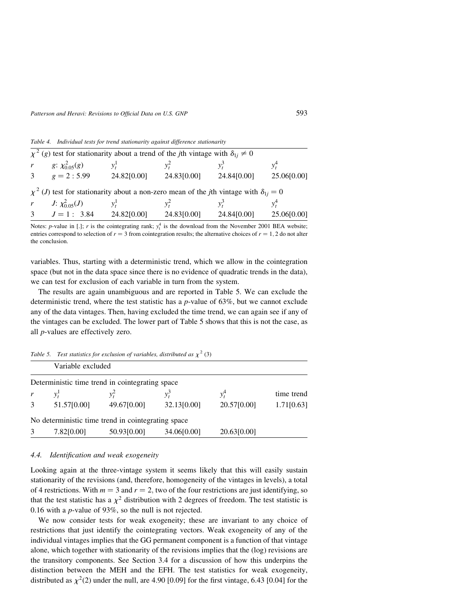## Patterson and Heravi: Revisions to Official Data on U.S. GNP 593

Table 4. Individual tests for trend stationarity against difference stationarity

| $\chi^2$ (g) test for stationarity about a trend of the <i>j</i> th vintage with $\delta_{1i} \neq 0$               |             |             |             |             |
|---------------------------------------------------------------------------------------------------------------------|-------------|-------------|-------------|-------------|
| r $g: \chi^2_{0.05}(g)$                                                                                             | $v_t^1$     | $v^2$       |             | $v^4$       |
| 3 $g = 2:5.99$                                                                                                      | 24.82[0.00] | 24.83[0.00] | 24.84[0.00] | 25.06[0.00] |
| $\chi^2$ ( <i>J</i> ) test for stationarity about a non-zero mean of the <i>j</i> th vintage with $\delta_{1i} = 0$ |             |             |             |             |
| r $J: \chi^2_{0.05}(J)$                                                                                             | $y_t^1$     | $v_t^2$     |             | $v^4$       |
| 3 $J=1:3.84$                                                                                                        | 24.82[0.00] | 24.83[0.00] | 24.84[0.00] | 25.06[0.00] |

Notes: *p*-value in [.]; *r* is the cointegrating rank;  $y_t^4$  is the download from the November 2001 BEA website; entries correspond to selection of  $r = 3$  from cointegration results; the alternative choices of  $r = 1, 2$  do not alter the conclusion.

variables. Thus, starting with a deterministic trend, which we allow in the cointegration space (but not in the data space since there is no evidence of quadratic trends in the data), we can test for exclusion of each variable in turn from the system.

The results are again unambiguous and are reported in Table 5. We can exclude the deterministic trend, where the test statistic has a  $p$ -value of 63%, but we cannot exclude any of the data vintages. Then, having excluded the time trend, we can again see if any of the vintages can be excluded. The lower part of Table 5 shows that this is not the case, as all p-values are effectively zero.

|   |                   |                                                    | Table 5. Test statistics for exclusion of variables, distributed as $\chi^2$ (3) |             |            |
|---|-------------------|----------------------------------------------------|----------------------------------------------------------------------------------|-------------|------------|
|   | Variable excluded |                                                    |                                                                                  |             |            |
|   |                   | Deterministic time trend in cointegrating space    |                                                                                  |             |            |
| r | $v^{\prime}$      |                                                    | $v^3$                                                                            | $y_t^4$     | time trend |
| 3 | 51.57[0.00]       | 49.67[0.00]                                        | 32.13[0.00]                                                                      | 20.57[0.00] | 1.71[0.63] |
|   |                   | No deterministic time trend in cointegrating space |                                                                                  |             |            |
| 3 | 7.82[0.00]        | 50.93[0.00]                                        | 34.06[0.00]                                                                      | 20.63[0.00] |            |

# 4.4. Identification and weak exogeneity

Looking again at the three-vintage system it seems likely that this will easily sustain stationarity of the revisions (and, therefore, homogeneity of the vintages in levels), a total of 4 restrictions. With  $m = 3$  and  $r = 2$ , two of the four restrictions are just identifying, so that the test statistic has a  $\chi^2$  distribution with 2 degrees of freedom. The test statistic is 0.16 with a  $p$ -value of 93%, so the null is not rejected.

We now consider tests for weak exogeneity; these are invariant to any choice of restrictions that just identify the cointegrating vectors. Weak exogeneity of any of the individual vintages implies that the GG permanent component is a function of that vintage alone, which together with stationarity of the revisions implies that the (log) revisions are the transitory components. See Section 3.4 for a discussion of how this underpins the distinction between the MEH and the EFH. The test statistics for weak exogeneity, distributed as  $\chi^2(2)$  under the null, are 4.90 [0.09] for the first vintage, 6.43 [0.04] for the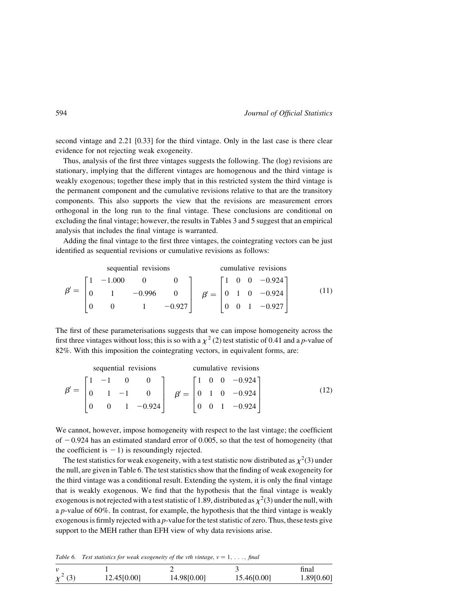second vintage and 2.21 [0.33] for the third vintage. Only in the last case is there clear evidence for not rejecting weak exogeneity.

Thus, analysis of the first three vintages suggests the following. The (log) revisions are stationary, implying that the different vintages are homogenous and the third vintage is weakly exogenous; together these imply that in this restricted system the third vintage is the permanent component and the cumulative revisions relative to that are the transitory components. This also supports the view that the revisions are measurement errors orthogonal in the long run to the final vintage. These conclusions are conditional on excluding the final vintage; however, the results in Tables 3 and 5 suggest that an empirical analysis that includes the final vintage is warranted.

Adding the final vintage to the first three vintages, the cointegrating vectors can be just identified as sequential revisions or cumulative revisions as follows:

sequential revisions  
\n
$$
\beta' = \begin{bmatrix}\n1 & -1.000 & 0 & 0 \\
0 & 1 & -0.996 & 0 \\
0 & 0 & 1 & -0.927\n\end{bmatrix}\n\quad\n\beta' = \begin{bmatrix}\n1 & 0 & 0 & -0.924 \\
0 & 1 & 0 & -0.924 \\
0 & 0 & 1 & -0.927\n\end{bmatrix}
$$
\n(11)

The first of these parameterisations suggests that we can impose homogeneity across the first three vintages without loss; this is so with a  $\chi^2$  (2) test statistic of 0.41 and a p-value of 82%. With this imposition the cointegrating vectors, in equivalent forms, are:

|  |  | sequential revisions                                                                                                |  |  | cumulative revisions                               |  |
|--|--|---------------------------------------------------------------------------------------------------------------------|--|--|----------------------------------------------------|--|
|  |  | $\begin{bmatrix} 1 & -1 & 0 & 0 \end{bmatrix}$ $\begin{bmatrix} 1 & 0 & 0 & -0.924 \end{bmatrix}$                   |  |  |                                                    |  |
|  |  | $\beta' = \begin{vmatrix} 0 & 1 & -1 & 0 \end{vmatrix}$ $\beta' = \begin{vmatrix} 0 & 1 & 0 & -0.924 \end{vmatrix}$ |  |  |                                                    |  |
|  |  | 0 1 $-0.924$                                                                                                        |  |  | $\begin{vmatrix} 0 & 0 & 1 & -0.924 \end{vmatrix}$ |  |

We cannot, however, impose homogeneity with respect to the last vintage; the coefficient of  $-0.924$  has an estimated standard error of 0.005, so that the test of homogeneity (that the coefficient is  $-1$ ) is resoundingly rejected.

The test statistics for weak exogeneity, with a test statistic now distributed as  $\chi^2(3)$  under the null, are given in Table 6. The test statistics show that the finding of weak exogeneity for the third vintage was a conditional result. Extending the system, it is only the final vintage that is weakly exogenous. We find that the hypothesis that the final vintage is weakly exogenous is not rejected with a test statistic of 1.89, distributed as  $\chi^2(3)$  under the null, with a p-value of 60%. In contrast, for example, the hypothesis that the third vintage is weakly exogenous is firmly rejected with a  $p$ -value for the test statistic of zero. Thus, these tests give support to the MEH rather than EFH view of why data revisions arise.

Table 6. Test statistics for weak exogeneity of the vth vintage,  $v = 1, \ldots$ , final

|              |             |             |             | final      |  |
|--------------|-------------|-------------|-------------|------------|--|
| $\chi^2$ (3) | 12.45[0.00] | 14.98[0.00] | 15.46[0.00] | 1.89[0.60] |  |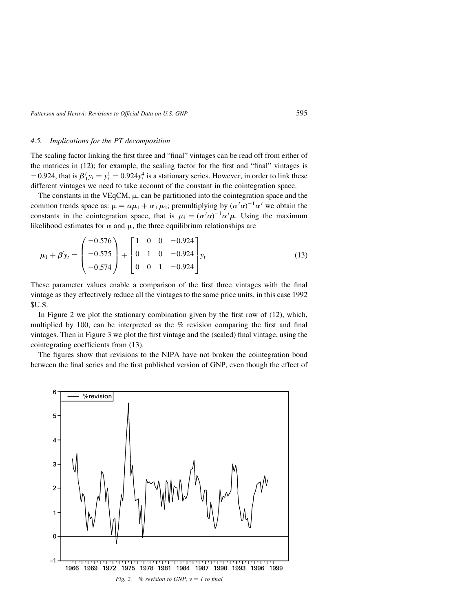Patterson and Heravi: Revisions to Official Data on U.S. GNP 595

# 4.5. Implications for the PT decomposition

The scaling factor linking the first three and "final" vintages can be read off from either of the matrices in (12); for example, the scaling factor for the first and "final" vintages is  $-0.924$ , that is  $\beta'_1 y_t = y_t^1 - 0.924 y_t^4$  is a stationary series. However, in order to link these different vintages we need to take account of the constant in the cointegration space.

The constants in the VEqCM,  $\mu$ , can be partitioned into the cointegration space and the common trends space as:  $\mu = \alpha \mu_1 + \alpha_1 \mu_2$ ; premultiplying by  $(\alpha' \alpha)^{-1} \alpha'$  we obtain the constants in the cointegration space, that is  $\mu_1 = (\alpha' \alpha)^{-1} \alpha' \mu$ . Using the maximum likelihood estimates for  $\alpha$  and  $\mu$ , the three equilibrium relationships are

$$
\mu_1 + \beta' y_t = \begin{pmatrix} -0.576 \\ -0.575 \\ -0.574 \end{pmatrix} + \begin{bmatrix} 1 & 0 & 0 & -0.924 \\ 0 & 1 & 0 & -0.924 \\ 0 & 0 & 1 & -0.924 \end{bmatrix} y_t
$$
(13)

These parameter values enable a comparison of the first three vintages with the final vintage as they effectively reduce all the vintages to the same price units, in this case 1992 \$U.S.

In Figure 2 we plot the stationary combination given by the first row of (12), which, multiplied by 100, can be interpreted as the  $\%$  revision comparing the first and final vintages. Then in Figure 3 we plot the first vintage and the (scaled) final vintage, using the cointegrating coefficients from (13).

The figures show that revisions to the NIPA have not broken the cointegration bond between the final series and the first published version of GNP, even though the effect of

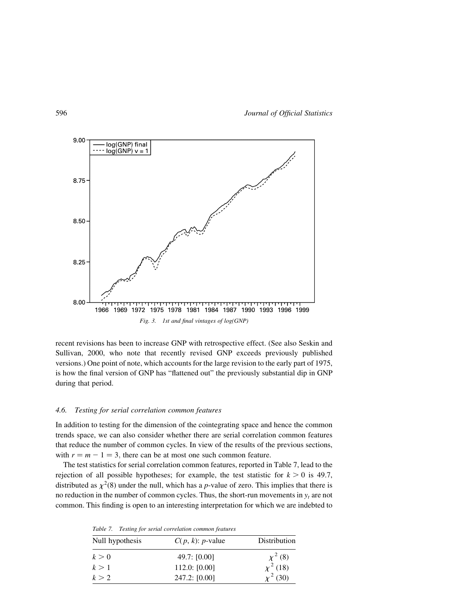

recent revisions has been to increase GNP with retrospective effect. (See also Seskin and Sullivan, 2000, who note that recently revised GNP exceeds previously published versions.) One point of note, which accounts for the large revision to the early part of 1975, is how the final version of GNP has "flattened out" the previously substantial dip in GNP during that period.

# 4.6. Testing for serial correlation common features

In addition to testing for the dimension of the cointegrating space and hence the common trends space, we can also consider whether there are serial correlation common features that reduce the number of common cycles. In view of the results of the previous sections, with  $r = m - 1 = 3$ , there can be at most one such common feature.

The test statistics for serial correlation common features, reported in Table 7, lead to the rejection of all possible hypotheses; for example, the test statistic for  $k > 0$  is 49.7, distributed as  $\chi^2(8)$  under the null, which has a p-value of zero. This implies that there is no reduction in the number of common cycles. Thus, the short-run movements in  $y_t$  are not common. This finding is open to an interesting interpretation for which we are indebted to

Table 7. Testing for serial correlation common features

| Null hypothesis | $C(p, k)$ : <i>p</i> -value | Distribution  |
|-----------------|-----------------------------|---------------|
| k>0             | 49.7: $[0.00]$              | $\chi^2$ (8)  |
| k>1             | 112.0: [0.00]               | $\chi^2$ (18) |
| k > 2           | 247.2: [0.00]               | $\chi^2$ (30) |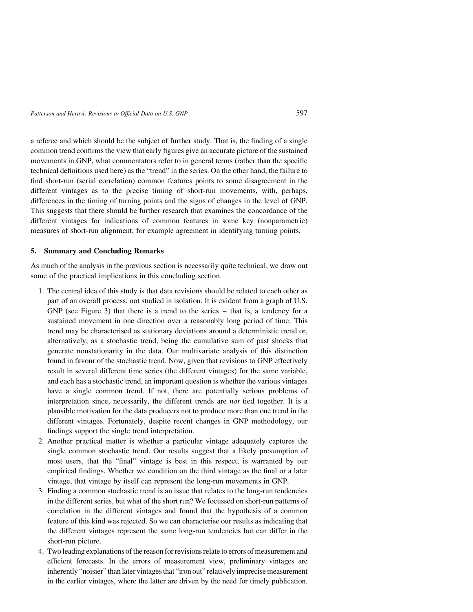a referee and which should be the subject of further study. That is, the finding of a single common trend confirms the view that early figures give an accurate picture of the sustained movements in GNP, what commentators refer to in general terms (rather than the specific technical definitions used here) as the "trend" in the series. On the other hand, the failure to find short-run (serial correlation) common features points to some disagreement in the different vintages as to the precise timing of short-run movements, with, perhaps, differences in the timing of turning points and the signs of changes in the level of GNP. This suggests that there should be further research that examines the concordance of the different vintages for indications of common features in some key (nonparametric) measures of short-run alignment, for example agreement in identifying turning points.

# 5. Summary and Concluding Remarks

As much of the analysis in the previous section is necessarily quite technical, we draw out some of the practical implications in this concluding section.

- 1. The central idea of this study is that data revisions should be related to each other as part of an overall process, not studied in isolation. It is evident from a graph of U.S. GNP (see Figure 3) that there is a trend to the series – that is, a tendency for a sustained movement in one direction over a reasonably long period of time. This trend may be characterised as stationary deviations around a deterministic trend or, alternatively, as a stochastic trend, being the cumulative sum of past shocks that generate nonstationarity in the data. Our multivariate analysis of this distinction found in favour of the stochastic trend. Now, given that revisions to GNP effectively result in several different time series (the different vintages) for the same variable, and each has a stochastic trend, an important question is whether the various vintages have a single common trend. If not, there are potentially serious problems of interpretation since, necessarily, the different trends are not tied together. It is a plausible motivation for the data producers not to produce more than one trend in the different vintages. Fortunately, despite recent changes in GNP methodology, our findings support the single trend interpretation.
- 2. Another practical matter is whether a particular vintage adequately captures the single common stochastic trend. Our results suggest that a likely presumption of most users, that the "final" vintage is best in this respect, is warranted by our empirical findings. Whether we condition on the third vintage as the final or a later vintage, that vintage by itself can represent the long-run movements in GNP.
- 3. Finding a common stochastic trend is an issue that relates to the long-run tendencies in the different series, but what of the short run? We focussed on short-run patterns of correlation in the different vintages and found that the hypothesis of a common feature of this kind was rejected. So we can characterise our results as indicating that the different vintages represent the same long-run tendencies but can differ in the short-run picture.
- 4. Two leading explanations of the reason for revisions relate to errors of measurement and efficient forecasts. In the errors of measurement view, preliminary vintages are inherently "noisier" than later vintages that "iron out" relatively imprecise measurement in the earlier vintages, where the latter are driven by the need for timely publication.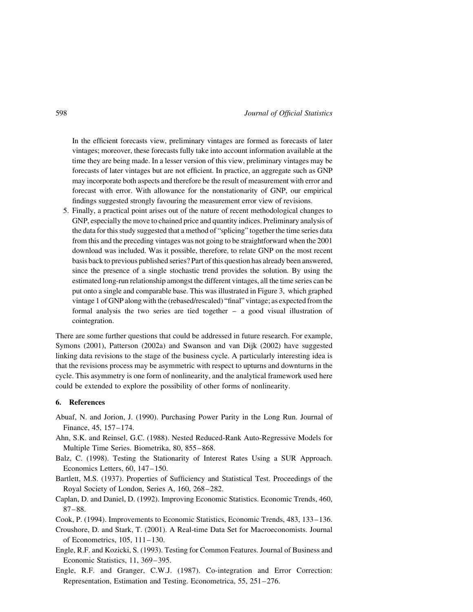In the efficient forecasts view, preliminary vintages are formed as forecasts of later vintages; moreover, these forecasts fully take into account information available at the time they are being made. In a lesser version of this view, preliminary vintages may be forecasts of later vintages but are not efficient. In practice, an aggregate such as GNP may incorporate both aspects and therefore be the result of measurement with error and forecast with error. With allowance for the nonstationarity of GNP, our empirical findings suggested strongly favouring the measurement error view of revisions.

5. Finally, a practical point arises out of the nature of recent methodological changes to GNP, especially the move to chained price and quantity indices. Preliminary analysis of the data for this study suggested that a method of "splicing" together the time series data from this and the preceding vintages was not going to be straightforward when the 2001 download was included. Was it possible, therefore, to relate GNP on the most recent basis back to previous published series? Part of this question has already been answered, since the presence of a single stochastic trend provides the solution. By using the estimated long-run relationship amongst the different vintages, all the time series can be put onto a single and comparable base. This was illustrated in Figure 3, which graphed vintage 1 of GNP along with the (rebased/rescaled) "final" vintage; as expected from the formal analysis the two series are tied together – a good visual illustration of cointegration.

There are some further questions that could be addressed in future research. For example, Symons (2001), Patterson (2002a) and Swanson and van Dijk (2002) have suggested linking data revisions to the stage of the business cycle. A particularly interesting idea is that the revisions process may be asymmetric with respect to upturns and downturns in the cycle. This asymmetry is one form of nonlinearity, and the analytical framework used here could be extended to explore the possibility of other forms of nonlinearity.

# 6. References

- Abuaf, N. and Jorion, J. (1990). Purchasing Power Parity in the Long Run. Journal of Finance, 45, 157–174.
- Ahn, S.K. and Reinsel, G.C. (1988). Nested Reduced-Rank Auto-Regressive Models for Multiple Time Series. Biometrika, 80, 855–868.
- Balz, C. (1998). Testing the Stationarity of Interest Rates Using a SUR Approach. Economics Letters, 60, 147–150.
- Bartlett, M.S. (1937). Properties of Sufficiency and Statistical Test. Proceedings of the Royal Society of London, Series A, 160, 268–282.
- Caplan, D. and Daniel, D. (1992). Improving Economic Statistics. Economic Trends, 460, 87–88.
- Cook, P. (1994). Improvements to Economic Statistics, Economic Trends, 483, 133–136.
- Croushore, D. and Stark, T. (2001). A Real-time Data Set for Macroeconomists. Journal of Econometrics, 105, 111–130.
- Engle, R.F. and Kozicki, S. (1993). Testing for Common Features. Journal of Business and Economic Statistics, 11, 369–395.
- Engle, R.F. and Granger, C.W.J. (1987). Co-integration and Error Correction: Representation, Estimation and Testing. Econometrica, 55, 251–276.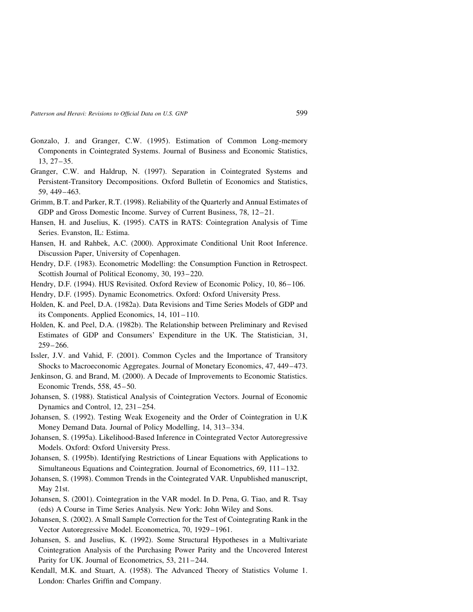- Gonzalo, J. and Granger, C.W. (1995). Estimation of Common Long-memory Components in Cointegrated Systems. Journal of Business and Economic Statistics, 13, 27–35.
- Granger, C.W. and Haldrup, N. (1997). Separation in Cointegrated Systems and Persistent-Transitory Decompositions. Oxford Bulletin of Economics and Statistics, 59, 449–463.
- Grimm, B.T. and Parker, R.T. (1998). Reliability of the Quarterly and Annual Estimates of GDP and Gross Domestic Income. Survey of Current Business, 78, 12–21.
- Hansen, H. and Juselius, K. (1995). CATS in RATS: Cointegration Analysis of Time Series. Evanston, IL: Estima.
- Hansen, H. and Rahbek, A.C. (2000). Approximate Conditional Unit Root Inference. Discussion Paper, University of Copenhagen.
- Hendry, D.F. (1983). Econometric Modelling: the Consumption Function in Retrospect. Scottish Journal of Political Economy, 30, 193–220.
- Hendry, D.F. (1994). HUS Revisited. Oxford Review of Economic Policy, 10, 86–106.
- Hendry, D.F. (1995). Dynamic Econometrics. Oxford: Oxford University Press.
- Holden, K. and Peel, D.A. (1982a). Data Revisions and Time Series Models of GDP and its Components. Applied Economics, 14, 101–110.
- Holden, K. and Peel, D.A. (1982b). The Relationship between Preliminary and Revised Estimates of GDP and Consumers' Expenditure in the UK. The Statistician, 31, 259–266.
- Issler, J.V. and Vahid, F. (2001). Common Cycles and the Importance of Transitory Shocks to Macroeconomic Aggregates. Journal of Monetary Economics, 47, 449–473.
- Jenkinson, G. and Brand, M. (2000). A Decade of Improvements to Economic Statistics. Economic Trends, 558, 45–50.
- Johansen, S. (1988). Statistical Analysis of Cointegration Vectors. Journal of Economic Dynamics and Control, 12, 231–254.
- Johansen, S. (1992). Testing Weak Exogeneity and the Order of Cointegration in U.K Money Demand Data. Journal of Policy Modelling, 14, 313–334.
- Johansen, S. (1995a). Likelihood-Based Inference in Cointegrated Vector Autoregressive Models. Oxford: Oxford University Press.
- Johansen, S. (1995b). Identifying Restrictions of Linear Equations with Applications to Simultaneous Equations and Cointegration. Journal of Econometrics, 69, 111–132.
- Johansen, S. (1998). Common Trends in the Cointegrated VAR. Unpublished manuscript, May 21st.
- Johansen, S. (2001). Cointegration in the VAR model. In D. Pena, G. Tiao, and R. Tsay (eds) A Course in Time Series Analysis. New York: John Wiley and Sons.
- Johansen, S. (2002). A Small Sample Correction for the Test of Cointegrating Rank in the Vector Autoregressive Model. Econometrica, 70, 1929–1961.
- Johansen, S. and Juselius, K. (1992). Some Structural Hypotheses in a Multivariate Cointegration Analysis of the Purchasing Power Parity and the Uncovered Interest Parity for UK. Journal of Econometrics, 53, 211–244.
- Kendall, M.K. and Stuart, A. (1958). The Advanced Theory of Statistics Volume 1. London: Charles Griffin and Company.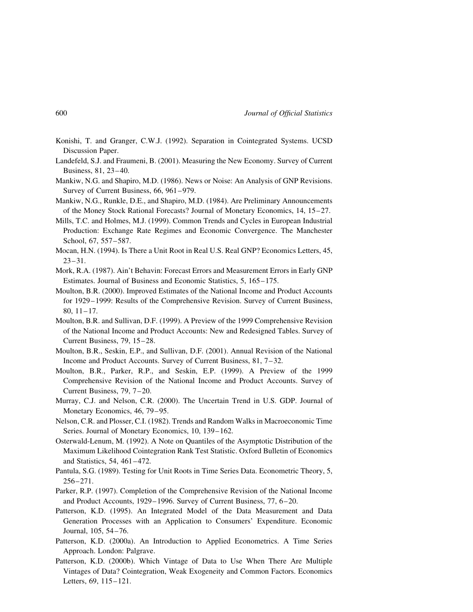- Konishi, T. and Granger, C.W.J. (1992). Separation in Cointegrated Systems. UCSD Discussion Paper.
- Landefeld, S.J. and Fraumeni, B. (2001). Measuring the New Economy. Survey of Current Business, 81, 23–40.
- Mankiw, N.G. and Shapiro, M.D. (1986). News or Noise: An Analysis of GNP Revisions. Survey of Current Business, 66, 961–979.
- Mankiw, N.G., Runkle, D.E., and Shapiro, M.D. (1984). Are Preliminary Announcements of the Money Stock Rational Forecasts? Journal of Monetary Economics, 14, 15–27.
- Mills, T.C. and Holmes, M.J. (1999). Common Trends and Cycles in European Industrial Production: Exchange Rate Regimes and Economic Convergence. The Manchester School, 67, 557–587.
- Mocan, H.N. (1994). Is There a Unit Root in Real U.S. Real GNP? Economics Letters, 45,  $23 - 31$ .
- Mork, R.A. (1987). Ain't Behavin: Forecast Errors and Measurement Errors in Early GNP Estimates. Journal of Business and Economic Statistics, 5, 165–175.
- Moulton, B.R. (2000). Improved Estimates of the National Income and Product Accounts for 1929–1999: Results of the Comprehensive Revision. Survey of Current Business, 80, 11–17.
- Moulton, B.R. and Sullivan, D.F. (1999). A Preview of the 1999 Comprehensive Revision of the National Income and Product Accounts: New and Redesigned Tables. Survey of Current Business, 79, 15–28.
- Moulton, B.R., Seskin, E.P., and Sullivan, D.F. (2001). Annual Revision of the National Income and Product Accounts. Survey of Current Business, 81, 7–32.
- Moulton, B.R., Parker, R.P., and Seskin, E.P. (1999). A Preview of the 1999 Comprehensive Revision of the National Income and Product Accounts. Survey of Current Business, 79, 7–20.
- Murray, C.J. and Nelson, C.R. (2000). The Uncertain Trend in U.S. GDP. Journal of Monetary Economics, 46, 79–95.
- Nelson, C.R. and Plosser, C.I. (1982). Trends and Random Walks in Macroeconomic Time Series. Journal of Monetary Economics, 10, 139–162.
- Osterwald-Lenum, M. (1992). A Note on Quantiles of the Asymptotic Distribution of the Maximum Likelihood Cointegration Rank Test Statistic. Oxford Bulletin of Economics and Statistics, 54, 461–472.
- Pantula, S.G. (1989). Testing for Unit Roots in Time Series Data. Econometric Theory, 5, 256–271.
- Parker, R.P. (1997). Completion of the Comprehensive Revision of the National Income and Product Accounts, 1929–1996. Survey of Current Business, 77, 6–20.
- Patterson, K.D. (1995). An Integrated Model of the Data Measurement and Data Generation Processes with an Application to Consumers' Expenditure. Economic Journal, 105, 54–76.
- Patterson, K.D. (2000a). An Introduction to Applied Econometrics. A Time Series Approach. London: Palgrave.
- Patterson, K.D. (2000b). Which Vintage of Data to Use When There Are Multiple Vintages of Data? Cointegration, Weak Exogeneity and Common Factors. Economics Letters, 69, 115–121.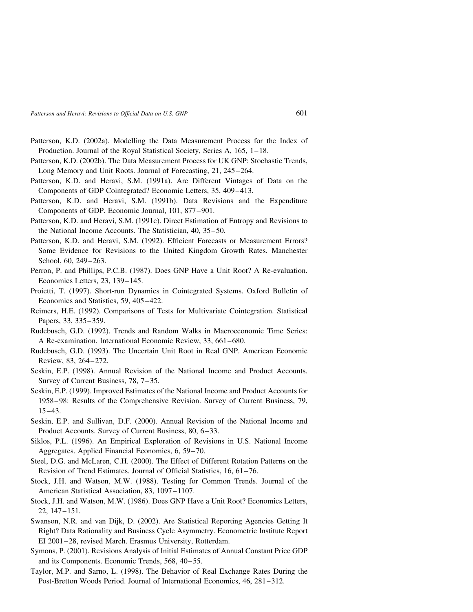- Patterson, K.D. (2002a). Modelling the Data Measurement Process for the Index of Production. Journal of the Royal Statistical Society, Series A, 165, 1–18.
- Patterson, K.D. (2002b). The Data Measurement Process for UK GNP: Stochastic Trends, Long Memory and Unit Roots. Journal of Forecasting, 21, 245–264.
- Patterson, K.D. and Heravi, S.M. (1991a). Are Different Vintages of Data on the Components of GDP Cointegrated? Economic Letters, 35, 409–413.
- Patterson, K.D. and Heravi, S.M. (1991b). Data Revisions and the Expenditure Components of GDP. Economic Journal, 101, 877–901.
- Patterson, K.D. and Heravi, S.M. (1991c). Direct Estimation of Entropy and Revisions to the National Income Accounts. The Statistician, 40, 35–50.
- Patterson, K.D. and Heravi, S.M. (1992). Efficient Forecasts or Measurement Errors? Some Evidence for Revisions to the United Kingdom Growth Rates. Manchester School, 60, 249–263.
- Perron, P. and Phillips, P.C.B. (1987). Does GNP Have a Unit Root? A Re-evaluation. Economics Letters, 23, 139–145.
- Proietti, T. (1997). Short-run Dynamics in Cointegrated Systems. Oxford Bulletin of Economics and Statistics, 59, 405–422.
- Reimers, H.E. (1992). Comparisons of Tests for Multivariate Cointegration. Statistical Papers, 33, 335–359.
- Rudebusch, G.D. (1992). Trends and Random Walks in Macroeconomic Time Series: A Re-examination. International Economic Review, 33, 661–680.
- Rudebusch, G.D. (1993). The Uncertain Unit Root in Real GNP. American Economic Review, 83, 264–272.
- Seskin, E.P. (1998). Annual Revision of the National Income and Product Accounts. Survey of Current Business, 78, 7–35.
- Seskin, E.P. (1999). Improved Estimates of the National Income and Product Accounts for 1958–98: Results of the Comprehensive Revision. Survey of Current Business, 79, 15–43.
- Seskin, E.P. and Sullivan, D.F. (2000). Annual Revision of the National Income and Product Accounts. Survey of Current Business, 80, 6–33.
- Siklos, P.L. (1996). An Empirical Exploration of Revisions in U.S. National Income Aggregates. Applied Financial Economics, 6, 59–70.
- Steel, D.G. and McLaren, C.H. (2000). The Effect of Different Rotation Patterns on the Revision of Trend Estimates. Journal of Official Statistics, 16, 61–76.
- Stock, J.H. and Watson, M.W. (1988). Testing for Common Trends. Journal of the American Statistical Association, 83, 1097–1107.
- Stock, J.H. and Watson, M.W. (1986). Does GNP Have a Unit Root? Economics Letters, 22, 147–151.
- Swanson, N.R. and van Dijk, D. (2002). Are Statistical Reporting Agencies Getting It Right? Data Rationality and Business Cycle Asymmetry. Econometric Institute Report EI 2001–28, revised March. Erasmus University, Rotterdam.
- Symons, P. (2001). Revisions Analysis of Initial Estimates of Annual Constant Price GDP and its Components. Economic Trends, 568, 40–55.
- Taylor, M.P. and Sarno, L. (1998). The Behavior of Real Exchange Rates During the Post-Bretton Woods Period. Journal of International Economics, 46, 281–312.